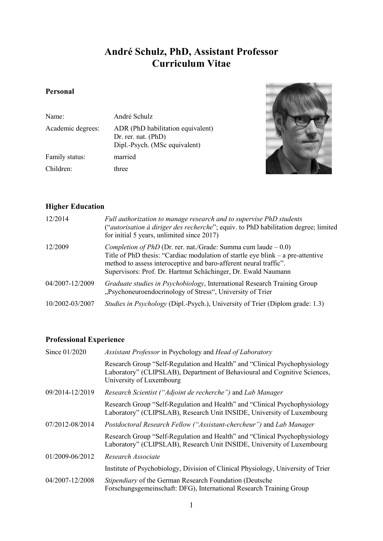# **André Schulz, PhD, Assistant Professor Curriculum Vitae**

## **Personal**

| Name:             | André Schulz                                                                              |
|-------------------|-------------------------------------------------------------------------------------------|
| Academic degrees: | ADR (PhD habilitation equivalent)<br>Dr. rer. nat. (PhD)<br>Dipl.-Psych. (MSc equivalent) |
| Family status:    | married                                                                                   |
| Children:         | three                                                                                     |



## **Higher Education**

| 12/2014         | Full authorization to manage research and to supervise PhD students<br>("autorisation à diriger des recherche"; equiv. to PhD habilitation degree; limited<br>for initial 5 years, unlimited since 2017)                                                                                         |
|-----------------|--------------------------------------------------------------------------------------------------------------------------------------------------------------------------------------------------------------------------------------------------------------------------------------------------|
| 12/2009         | <i>Completion of PhD</i> (Dr. rer. nat./Grade: Summa cum laude $-0.0$ )<br>Title of PhD thesis: "Cardiac modulation of startle eye blink – a pre-attentive<br>method to assess interoceptive and baro-afferent neural traffic".<br>Supervisors: Prof. Dr. Hartmut Schächinger, Dr. Ewald Naumann |
| 04/2007-12/2009 | Graduate studies in Psychobiology, International Research Training Group<br>"Psychoneuroendocrinology of Stress", University of Trier                                                                                                                                                            |
| 10/2002-03/2007 | Studies in Psychology (Dipl.-Psych.), University of Trier (Diplom grade: 1.3)                                                                                                                                                                                                                    |

## **Professional Experience**

| Since 01/2020   | Assistant Professor in Psychology and Head of Laboratory                                                                                                                            |  |  |
|-----------------|-------------------------------------------------------------------------------------------------------------------------------------------------------------------------------------|--|--|
|                 | Research Group "Self-Regulation and Health" and "Clinical Psychophysiology<br>Laboratory" (CLIPSLAB), Department of Behavioural and Cognitive Sciences,<br>University of Luxembourg |  |  |
| 09/2014-12/2019 | Research Scientist ("Adjoint de recherche") and Lab Manager                                                                                                                         |  |  |
|                 | Research Group "Self-Regulation and Health" and "Clinical Psychophysiology<br>Laboratory" (CLIPSLAB), Research Unit INSIDE, University of Luxembourg                                |  |  |
| 07/2012-08/2014 | Postdoctoral Research Fellow ("Assistant-chercheur") and Lab Manager                                                                                                                |  |  |
|                 | Research Group "Self-Regulation and Health" and "Clinical Psychophysiology<br>Laboratory" (CLIPSLAB), Research Unit INSIDE, University of Luxembourg                                |  |  |
| 01/2009-06/2012 | Research Associate                                                                                                                                                                  |  |  |
|                 | Institute of Psychobiology, Division of Clinical Physiology, University of Trier                                                                                                    |  |  |
| 04/2007-12/2008 | Stipendiary of the German Research Foundation (Deutsche<br>Forschungsgemeinschaft: DFG), International Research Training Group                                                      |  |  |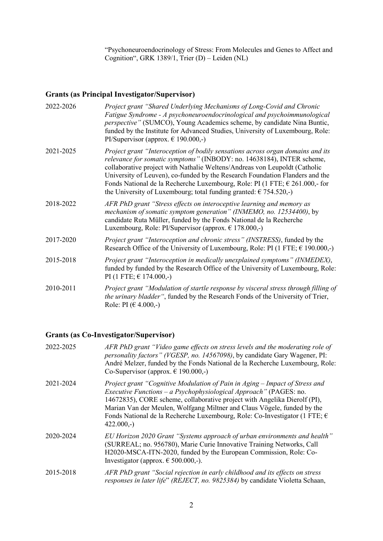"Psychoneuroendocrinology of Stress: From Molecules and Genes to Affect and Cognition", GRK 1389/1, Trier (D) – Leiden (NL)

## **Grants (as Principal Investigator/Supervisor)**

| 2022-2026 | Project grant "Shared Underlying Mechanisms of Long-Covid and Chronic<br>Fatigue Syndrome - A psychoneuroendocrinological and psychoimmunological<br><i>perspective"</i> (SUMCO), Young Academics scheme, by candidate Nina Buntic,<br>funded by the Institute for Advanced Studies, University of Luxembourg, Role:<br>PI/Supervisor (approx. $\in$ 190.000,-)                                                                                                                             |
|-----------|---------------------------------------------------------------------------------------------------------------------------------------------------------------------------------------------------------------------------------------------------------------------------------------------------------------------------------------------------------------------------------------------------------------------------------------------------------------------------------------------|
| 2021-2025 | Project grant "Interoception of bodily sensations across organ domains and its<br>relevance for somatic symptoms" (INBODY: no. 14638184), INTER scheme,<br>collaborative project with Nathalie Weltens/Andreas von Leupoldt (Catholic<br>University of Leuven), co-funded by the Research Foundation Flanders and the<br>Fonds National de la Recherche Luxembourg, Role: PI (1 FTE; $\epsilon$ 261.000,- for<br>the University of Luxembourg; total funding granted: $\epsilon$ 754.520,-) |
| 2018-2022 | AFR PhD grant "Stress effects on interoceptive learning and memory as<br>mechanism of somatic symptom generation" (INMEMO, no. 12534400), by<br>candidate Ruta Müller, funded by the Fonds National de la Recherche<br>Luxembourg, Role: PI/Supervisor (approx. $\epsilon$ 178.000,-)                                                                                                                                                                                                       |
| 2017-2020 | Project grant "Interoception and chronic stress" (INSTRESS), funded by the<br>Research Office of the University of Luxembourg, Role: PI (1 FTE; $\epsilon$ 190.000,-)                                                                                                                                                                                                                                                                                                                       |
| 2015-2018 | Project grant "Interoception in medically unexplained symptoms" (INMEDEX),<br>funded by funded by the Research Office of the University of Luxembourg, Role:<br>PI (1 FTE; € 174.000,-)                                                                                                                                                                                                                                                                                                     |
| 2010-2011 | Project grant "Modulation of startle response by visceral stress through filling of<br><i>the urinary bladder</i> ", funded by the Research Fonds of the University of Trier,<br>Role: PI ( $\in$ 4.000,-)                                                                                                                                                                                                                                                                                  |

## **Grants (as Co-Investigator/Supervisor)**

| 2022-2025 | AFR PhD grant "Video game effects on stress levels and the moderating role of<br>personality factors" (VGESP, no. 14567098), by candidate Gary Wagener, PI:<br>André Melzer, funded by the Fonds National de la Recherche Luxembourg, Role:<br>Co-Supervisor (approx. $\in$ 190.000,-)                                                                                                                                 |
|-----------|------------------------------------------------------------------------------------------------------------------------------------------------------------------------------------------------------------------------------------------------------------------------------------------------------------------------------------------------------------------------------------------------------------------------|
| 2021-2024 | Project grant "Cognitive Modulation of Pain in Aging – Impact of Stress and<br><i>Executive Functions – a Psychophysiological Approach</i> " (PAGES: no.<br>14672835), CORE scheme, collaborative project with Angelika Dierolf (PI),<br>Marian Van der Meulen, Wolfgang Miltner and Claus Vögele, funded by the<br>Fonds National de la Recherche Luxembourg, Role: Co-Investigator (1 FTE; $\epsilon$<br>$422.000,-$ |
| 2020-2024 | EU Horizon 2020 Grant "Systems approach of urban environments and health"<br>(SURREAL; no. 956780), Marie Curie Innovative Training Networks, Call<br>H2020-MSCA-ITN-2020, funded by the European Commission, Role: Co-<br>Investigator (approx. $\epsilon$ 500.000,-).                                                                                                                                                |
| 2015-2018 | AFR PhD grant "Social rejection in early childhood and its effects on stress<br>responses in later life" (REJECT, no. 9825384) by candidate Violetta Schaan,                                                                                                                                                                                                                                                           |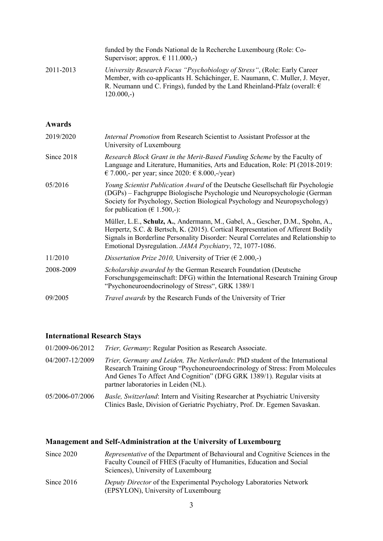|               | funded by the Fonds National de la Recherche Luxembourg (Role: Co-<br>Supervisor; approx. $\in$ 111.000,-)                                                                                                                                                                                                        |
|---------------|-------------------------------------------------------------------------------------------------------------------------------------------------------------------------------------------------------------------------------------------------------------------------------------------------------------------|
| 2011-2013     | University Research Focus "Psychobiology of Stress", (Role: Early Career<br>Member, with co-applicants H. Schächinger, E. Naumann, C. Muller, J. Meyer,<br>R. Neumann und C. Frings), funded by the Land Rheinland-Pfalz (overall: $\epsilon$<br>$120.000,-$                                                      |
| <b>Awards</b> |                                                                                                                                                                                                                                                                                                                   |
| 2019/2020     | <i>Internal Promotion</i> from Research Scientist to Assistant Professor at the<br>University of Luxembourg                                                                                                                                                                                                       |
| Since 2018    | Research Block Grant in the Merit-Based Funding Scheme by the Faculty of<br>Language and Literature, Humanities, Arts and Education, Role: PI (2018-2019:<br>€ 7.000,- per year; since 2020: € 8.000,-/year)                                                                                                      |
| 05/2016       | Young Scientist Publication Award of the Deutsche Gesellschaft für Psychologie<br>(DGPs) - Fachgruppe Biologische Psychologie und Neuropsychologie (German<br>Society for Psychology, Section Biological Psychology and Neuropsychology)<br>for publication ( $\in$ 1.500,-):                                     |
|               | Müller, L.E., Schulz, A., Andermann, M., Gabel, A., Gescher, D.M., Spohn, A.,<br>Herpertz, S.C. & Bertsch, K. (2015). Cortical Representation of Afferent Bodily<br>Signals in Borderline Personality Disorder: Neural Correlates and Relationship to<br>Emotional Dysregulation. JAMA Psychiatry, 72, 1077-1086. |
| 11/2010       | Dissertation Prize 2010, University of Trier ( $\epsilon$ 2.000,-)                                                                                                                                                                                                                                                |
| 2008-2009     | Scholarship awarded by the German Research Foundation (Deutsche<br>Forschungsgemeinschaft: DFG) within the International Research Training Group<br>"Psychoneuroendocrinology of Stress", GRK 1389/1                                                                                                              |
| 09/2005       | <i>Travel awards</i> by the Research Funds of the University of Trier                                                                                                                                                                                                                                             |

### **International Research Stays**

01/2009-06/2012 *Trier, Germany*: Regular Position as Research Associate. 04/2007-12/2009 *Trier, Germany and Leiden, The Netherlands*: PhD student of the International Research Training Group "Psychoneuroendocrinology of Stress: From Molecules And Genes To Affect And Cognition" (DFG GRK 1389/1). Regular visits at partner laboratories in Leiden (NL).

05/2006-07/2006 *Basle, Switzerland*: Intern and Visiting Researcher at Psychiatric University Clinics Basle, Division of Geriatric Psychiatry, Prof. Dr. Egemen Savaskan.

### **Management and Self-Administration at the University of Luxembourg**

| Since $2020$ | <i>Representative</i> of the Department of Behavioural and Cognitive Sciences in the<br>Faculty Council of FHES (Faculty of Humanities, Education and Social<br>Sciences), University of Luxembourg |  |  |
|--------------|-----------------------------------------------------------------------------------------------------------------------------------------------------------------------------------------------------|--|--|
| Since $2016$ | <i>Deputy Director</i> of the Experimental Psychology Laboratories Network<br>(EPSYLON), University of Luxembourg                                                                                   |  |  |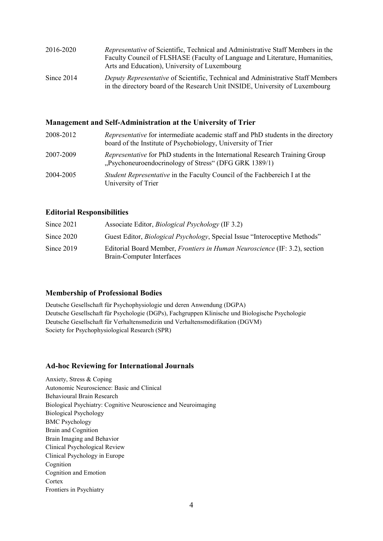| 2016-2020    | Representative of Scientific, Technical and Administrative Staff Members in the<br>Faculty Council of FLSHASE (Faculty of Language and Literature, Humanities,<br>Arts and Education), University of Luxembourg |
|--------------|-----------------------------------------------------------------------------------------------------------------------------------------------------------------------------------------------------------------|
| Since $2014$ | Deputy Representative of Scientific, Technical and Administrative Staff Members<br>in the directory board of the Research Unit INSIDE, University of Luxembourg                                                 |

#### **Management and Self-Administration at the University of Trier**

| 2008-2012 | Representative for intermediate academic staff and PhD students in the directory<br>board of the Institute of Psychobiology, University of Trier |
|-----------|--------------------------------------------------------------------------------------------------------------------------------------------------|
| 2007-2009 | <i>Representative</i> for PhD students in the International Research Training Group<br>"Psychoneuroendocrinology of Stress" (DFG GRK 1389/1)     |
| 2004-2005 | Student Representative in the Faculty Council of the Fachbereich I at the<br>University of Trier                                                 |

#### **Editorial Responsibilities**

| Since $2021$ | Associate Editor, <i>Biological Psychology</i> (IF 3.2)                                                        |
|--------------|----------------------------------------------------------------------------------------------------------------|
| Since $2020$ | Guest Editor, <i>Biological Psychology</i> , Special Issue "Interoceptive Methods"                             |
| Since $2019$ | Editorial Board Member, <i>Frontiers in Human Neuroscience</i> (IF: 3.2), section<br>Brain-Computer Interfaces |

#### **Membership of Professional Bodies**

Deutsche Gesellschaft für Psychophysiologie und deren Anwendung (DGPA) Deutsche Gesellschaft für Psychologie (DGPs), Fachgruppen Klinische und Biologische Psychologie Deutsche Gesellschaft für Verhaltensmedizin und Verhaltensmodifikation (DGVM) Society for Psychophysiological Research (SPR)

## **Ad-hoc Reviewing for International Journals**

Anxiety, Stress & Coping Autonomic Neuroscience: Basic and Clinical Behavioural Brain Research Biological Psychiatry: Cognitive Neuroscience and Neuroimaging Biological Psychology BMC Psychology Brain and Cognition Brain Imaging and Behavior Clinical Psychological Review Clinical Psychology in Europe Cognition Cognition and Emotion **Cortex** Frontiers in Psychiatry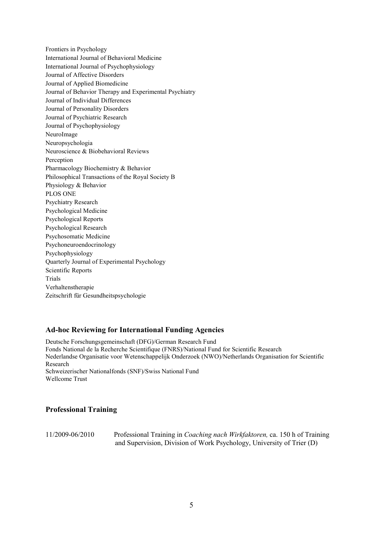Frontiers in Psychology International Journal of Behavioral Medicine International Journal of Psychophysiology Journal of Affective Disorders Journal of Applied Biomedicine Journal of Behavior Therapy and Experimental Psychiatry Journal of Individual Differences Journal of Personality Disorders Journal of Psychiatric Research Journal of Psychophysiology NeuroImage Neuropsychologia Neuroscience & Biobehavioral Reviews Perception Pharmacology Biochemistry & Behavior Philosophical Transactions of the Royal Society B Physiology & Behavior PLOS ONE Psychiatry Research Psychological Medicine Psychological Reports Psychological Research Psychosomatic Medicine Psychoneuroendocrinology Psychophysiology Quarterly Journal of Experimental Psychology Scientific Reports Trials Verhaltenstherapie Zeitschrift für Gesundheitspsychologie

### **Ad-hoc Reviewing for International Funding Agencies**

Deutsche Forschungsgemeinschaft (DFG)/German Research Fund Fonds National de la Recherche Scientifique (FNRS)/National Fund for Scientific Research Nederlandse Organisatie voor Wetenschappelijk Onderzoek (NWO)/Netherlands Organisation for Scientific Research Schweizerischer Nationalfonds (SNF)/Swiss National Fund Wellcome Trust

### **Professional Training**

11/2009-06/2010 Professional Training in *Coaching nach Wirkfaktoren,* ca. 150 h of Training and Supervision, Division of Work Psychology, University of Trier (D)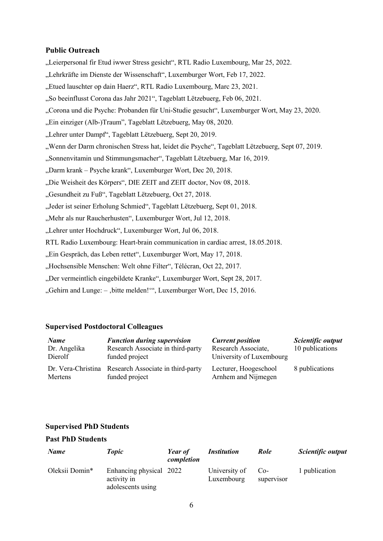### **Public Outreach**

- "Leierpersonal fir Etud iwwer Stress gesicht", RTL Radio Luxembourg, Mar 25, 2022.
- "Lehrkräfte im Dienste der Wissenschaft", Luxemburger Wort, Feb 17, 2022.
- "Etued lauschter op dain Haerz", RTL Radio Luxembourg, Marc 23, 2021.
- "So beeinflusst Corona das Jahr 2021", Tageblatt Lëtzebuerg, Feb 06, 2021.
- "Corona und die Psyche: Probanden für Uni-Studie gesucht", Luxemburger Wort, May 23, 2020.
- "Ein einziger (Alb-)Traum", Tageblatt Lëtzebuerg, May 08, 2020.
- "Lehrer unter Dampf", Tageblatt Lëtzebuerg, Sept 20, 2019.
- "Wenn der Darm chronischen Stress hat, leidet die Psyche", Tageblatt Lëtzebuerg, Sept 07, 2019.
- "Sonnenvitamin und Stimmungsmacher", Tageblatt Lëtzebuerg, Mar 16, 2019.
- "Darm krank Psyche krank", Luxemburger Wort, Dec 20, 2018.
- "Die Weisheit des Körpers", DIE ZEIT and ZEIT doctor, Nov 08, 2018.
- "Gesundheit zu Fuß", Tageblatt Lëtzebuerg, Oct 27, 2018.
- "Jeder ist seiner Erholung Schmied", Tageblatt Lëtzebuerg, Sept 01, 2018.
- "Mehr als nur Raucherhusten", Luxemburger Wort, Jul 12, 2018.
- "Lehrer unter Hochdruck", Luxemburger Wort, Jul 06, 2018.
- RTL Radio Luxembourg: Heart-brain communication in cardiac arrest, 18.05.2018.
- "Ein Gespräch, das Leben rettet", Luxemburger Wort, May 17, 2018.
- "Hochsensible Menschen: Welt ohne Filter", Télécran, Oct 22, 2017.
- "Der vermeintlich eingebildete Kranke", Luxemburger Wort, Sept 28, 2017.
- "Gehirn and Lunge: , bitte melden!"", Luxemburger Wort, Dec 15, 2016.

## **Supervised Postdoctoral Colleagues**

| <b>Name</b><br>Dr. Angelika<br>Dierolf | <b>Function during supervision</b><br>Research Associate in third-party<br>funded project | <b>Current position</b><br>Research Associate,<br>University of Luxembourg | Scientific output<br>10 publications |
|----------------------------------------|-------------------------------------------------------------------------------------------|----------------------------------------------------------------------------|--------------------------------------|
| Mertens                                | Dr. Vera-Christina Research Associate in third-party<br>funded project                    | Lecturer, Hoogeschool<br>Arnhem and Nijmegen                               | 8 publications                       |

## **Supervised PhD Students**

## **Past PhD Students**

| <b>Name</b>    | <b>Topic</b>                                                | Year of<br>completion | <i>Institution</i>          | Role              | Scientific output |
|----------------|-------------------------------------------------------------|-----------------------|-----------------------------|-------------------|-------------------|
| Oleksii Domin* | Enhancing physical 2022<br>activity in<br>adolescents using |                       | University of<br>Luxembourg | Co-<br>supervisor | 1 publication     |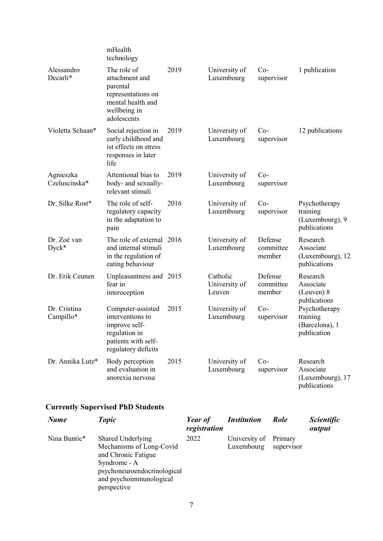|                            | mHealth<br>technology                                                                                                 |      |                                     |                                |                                                              |
|----------------------------|-----------------------------------------------------------------------------------------------------------------------|------|-------------------------------------|--------------------------------|--------------------------------------------------------------|
| Alessandro<br>Decarli*     | The role of<br>attachment and<br>parental<br>representations on<br>mental health and<br>wellbeing in<br>adolescents   | 2019 | University of<br>Luxembourg         | $Co-$<br>supervisor            | 1 publication                                                |
| Violetta Schaan*           | Social rejection in<br>early childhood and<br>ist effects on stress<br>responses in later<br>life                     | 2019 | University of<br>Luxembourg         | $Co-$<br>supervisor            | 12 publications                                              |
| Agnieszka<br>Czeluscinska* | Attentional bias to<br>body- and sexually-<br>relevant stimuli                                                        | 2019 | University of<br>Luxembourg         | $Co-$<br>supervisor            |                                                              |
| Dr. Silke Rost*            | The role of self-<br>regulatory capacity<br>in the adaptation to<br>pain                                              | 2016 | University of<br>Luxembourg         | $Co-$<br>supervisor            | Psychotherapy<br>training<br>(Luxembourg), 9<br>publications |
| Dr. Zoé van<br>$Dyck*$     | The role of external 2016<br>and internal stimuli<br>in the regulation of<br>eating behaviour                         |      | University of<br>Luxembourg         | Defense<br>committee<br>member | Research<br>Associate<br>(Luxembourg), 12<br>publications    |
| Dr. Erik Ceunen            | Unpleasantness and 2015<br>fear in<br>interoception                                                                   |      | Catholic<br>University of<br>Leuven | Defense<br>committee<br>member | Research<br>Associate<br>(Leuven) 8<br>publications          |
| Dr. Cristina<br>Campillo*  | Computer-assisted<br>interventions to<br>improve self-<br>regulation in<br>patients with self-<br>regulatory deficits | 2015 | University of<br>Luxembourg         | $Co-$<br>supervisor            | Psychotherapy<br>training<br>(Barcelona), 1<br>publication   |
| Dr. Annika Lutz*           | Body perception<br>and evaluation in<br>anorexia nervosa                                                              | 2015 | University of<br>Luxembourg         | $Co-$<br>supervisor            | Research<br>Associate<br>(Luxembourg), 17<br>publications    |

# **Currently Supervised PhD Students**

| <b>Name</b>  | <b>Topic</b>                                                                                                                                                  | Year of<br>registration | <i><b>Institution</b></i>   | Role                  | <i>Scientific</i><br>output |
|--------------|---------------------------------------------------------------------------------------------------------------------------------------------------------------|-------------------------|-----------------------------|-----------------------|-----------------------------|
| Nina Buntic* | Shared Underlying<br>Mechanisms of Long-Covid<br>and Chronic Fatigue<br>Syndrome - A<br>psychoneuroendocrinological<br>and psychoimmunological<br>perspective | 2022                    | University of<br>Luxembourg | Primary<br>supervisor |                             |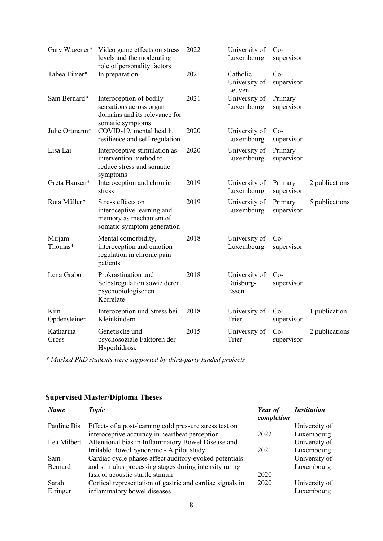|                     | Gary Wagener* Video game effects on stress<br>levels and the moderating<br>role of personality factors  | 2022 | University of<br>Luxembourg         | $Co-$<br>supervisor   |                |
|---------------------|---------------------------------------------------------------------------------------------------------|------|-------------------------------------|-----------------------|----------------|
| Tabea Eimer*        | In preparation                                                                                          | 2021 | Catholic<br>University of<br>Leuven | $Co-$<br>supervisor   |                |
| Sam Bernard*        | Interoception of bodily<br>sensations across organ<br>domains and its relevance for<br>somatic symptoms | 2021 | University of<br>Luxembourg         | Primary<br>supervisor |                |
| Julie Ortmann*      | COVID-19, mental health,<br>resilience and self-regulation                                              | 2020 | University of<br>Luxembourg         | $Co-$<br>supervisor   |                |
| Lisa Lai            | Interoceptive stimulation as<br>intervention method to<br>reduce stress and somatic<br>symptoms         | 2020 | University of<br>Luxembourg         | Primary<br>supervisor |                |
| Greta Hansen*       | Interoception and chronic<br>stress                                                                     | 2019 | University of<br>Luxembourg         | Primary<br>supervisor | 2 publications |
| Ruta Müller*        | Stress effects on<br>interoceptive learning and<br>memory as mechanism of<br>somatic symptom generation | 2019 | University of<br>Luxembourg         | Primary<br>supervisor | 5 publications |
| Mirjam<br>Thomas*   | Mental comorbidity,<br>interoception and emotion<br>regulation in chronic pain<br>patients              | 2018 | University of<br>Luxembourg         | $Co-$<br>supervisor   |                |
| Lena Grabo          | Prokrastination und<br>Selbstregulation sowie deren<br>psychobiologischen<br>Korrelate                  | 2018 | University of<br>Duisburg-<br>Essen | $Co-$<br>supervisor   |                |
| Kim<br>Opdensteinen | Interozeption und Stress bei<br>Kleinkindern                                                            | 2018 | University of<br>Trier              | $Co-$<br>supervisor   | 1 publication  |
| Katharina<br>Gross  | Genetische und<br>psychosoziale Faktoren der<br>Hyperhidrose                                            | 2015 | University of<br>Trier              | $Co-$<br>supervisor   | 2 publications |

*\* Marked PhD students were supported by third-party funded projects*

# **Supervised Master/Diploma Theses**

| <b>Name</b> | <b>Topic</b>                                              | Year of<br>completion | <i><b>Institution</b></i> |
|-------------|-----------------------------------------------------------|-----------------------|---------------------------|
| Pauline Bis | Effects of a post-learning cold pressure stress test on   |                       | University of             |
|             | interoceptive accuracy in heartbeat perception            | 2022                  | Luxembourg                |
| Lea Milbert | Attentional bias in Inflammatory Bowel Disease and        |                       | University of             |
|             | Irritable Bowel Syndrome - A pilot study                  | 2021                  | Luxembourg                |
| <b>Sam</b>  | Cardiac cycle phases affect auditory-evoked potentials    |                       | University of             |
| Bernard     | and stimulus processing stages during intensity rating    |                       | Luxembourg                |
|             | task of acoustic startle stimuli                          | 2020                  |                           |
| Sarah       | Cortical representation of gastric and cardiac signals in | 2020                  | University of             |
| Etringer    | inflammatory bowel diseases                               |                       | Luxembourg                |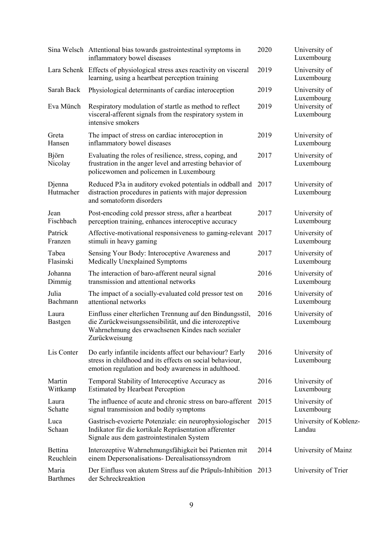|                          | Sina Welsch Attentional bias towards gastrointestinal symptoms in<br>inflammatory bowel diseases                                                                                        | 2020 | University of<br>Luxembourg               |
|--------------------------|-----------------------------------------------------------------------------------------------------------------------------------------------------------------------------------------|------|-------------------------------------------|
|                          | Lara Schenk Effects of physiological stress axes reactivity on visceral<br>learning, using a heartbeat perception training                                                              | 2019 | University of<br>Luxembourg               |
| Sarah Back               | Physiological determinants of cardiac interoception                                                                                                                                     | 2019 | University of                             |
| Eva Münch                | Respiratory modulation of startle as method to reflect<br>visceral-afferent signals from the respiratory system in<br>intensive smokers                                                 | 2019 | Luxembourg<br>University of<br>Luxembourg |
| Greta<br>Hansen          | The impact of stress on cardiac interoception in<br>inflammatory bowel diseases                                                                                                         | 2019 | University of<br>Luxembourg               |
| Björn<br>Nicolay         | Evaluating the roles of resilience, stress, coping, and<br>frustration in the anger level and arresting behavior of<br>policewomen and policemen in Luxembourg                          | 2017 | University of<br>Luxembourg               |
| Djenna<br>Hutmacher      | Reduced P3a in auditory evoked potentials in oddball and<br>distraction procedures in patients with major depression<br>and somatoform disorders                                        | 2017 | University of<br>Luxembourg               |
| Jean<br>Fischbach        | Post-encoding cold pressor stress, after a heartbeat<br>perception training, enhances interoceptive accuracy                                                                            | 2017 | University of<br>Luxembourg               |
| Patrick<br>Franzen       | Affective-motivational responsiveness to gaming-relevant 2017<br>stimuli in heavy gaming                                                                                                |      | University of<br>Luxembourg               |
| Tabea<br>Flasinski       | Sensing Your Body: Interoceptive Awareness and<br>Medically Unexplained Symptoms                                                                                                        | 2017 | University of<br>Luxembourg               |
| Johanna<br>Dimmig        | The interaction of baro-afferent neural signal<br>transmission and attentional networks                                                                                                 | 2016 | University of<br>Luxembourg               |
| Julia<br>Bachmann        | The impact of a socially-evaluated cold pressor test on<br>attentional networks                                                                                                         | 2016 | University of<br>Luxembourg               |
| Laura<br>Bastgen         | Einfluss einer elterlichen Trennung auf den Bindungsstil,<br>die Zurückweisungssensibilität, und die interozeptive<br>Wahrnehmung des erwachsenen Kindes nach sozialer<br>Zurückweisung | 2016 | University of<br>Luxembourg               |
| Lis Conter               | Do early infantile incidents affect our behaviour? Early<br>stress in childhood and its effects on social behaviour,<br>emotion regulation and body awareness in adulthood.             | 2016 | University of<br>Luxembourg               |
| Martin<br>Wittkamp       | Temporal Stability of Interoceptive Accuracy as<br><b>Estimated by Hearbeat Perception</b>                                                                                              | 2016 | University of<br>Luxembourg               |
| Laura<br>Schatte         | The influence of acute and chronic stress on baro-afferent<br>signal transmission and bodily symptoms                                                                                   | 2015 | University of<br>Luxembourg               |
| Luca<br>Schaan           | Gastrisch-evozierte Potenziale: ein neurophysiologischer<br>Indikator für die kortikale Repräsentation afferenter<br>Signale aus dem gastrointestinalen System                          | 2015 | University of Koblenz-<br>Landau          |
| Bettina<br>Reuchlein     | Interozeptive Wahrnehmungsfähigkeit bei Patienten mit<br>einem Depersonalisations- Derealisationssyndrom                                                                                | 2014 | University of Mainz                       |
| Maria<br><b>Barthmes</b> | Der Einfluss von akutem Stress auf die Präpuls-Inhibition 2013<br>der Schreckreaktion                                                                                                   |      | University of Trier                       |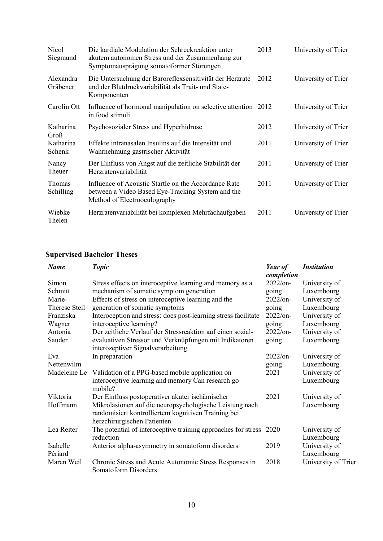| Nicol<br>Siegmund          | Die kardiale Modulation der Schreckreaktion unter<br>akutem autonomen Stress und der Zusammenhang zur<br>Symptomausprägung somatoformer Störungen | 2013 | University of Trier |
|----------------------------|---------------------------------------------------------------------------------------------------------------------------------------------------|------|---------------------|
| Alexandra<br>Gräbener      | Die Untersuchung der Baroreflexsensitivität der Herzrate<br>und der Blutdruckvariabilität als Trait- und State-<br>Komponenten                    | 2012 | University of Trier |
| Carolin Ott                | Influence of hormonal manipulation on selective attention 2012<br>in food stimuli                                                                 |      | University of Trier |
| Katharina<br>Groß          | Psychosozialer Stress und Hyperhidrose                                                                                                            | 2012 | University of Trier |
| Katharina<br>Schenk        | Effekte intranasalen Insulins auf die Intensität und<br>Wahrnehmung gastrischer Aktivität                                                         | 2011 | University of Trier |
| Nancy<br>Theuer            | Der Einfluss von Angst auf die zeitliche Stabilität der<br>Herzratenvariabilität                                                                  | 2011 | University of Trier |
| <b>Thomas</b><br>Schilling | Influence of Acoustic Startle on the Accordance Rate<br>between a Video Based Eye-Tracking System and the<br>Method of Electrooculography         | 2011 | University of Trier |
| Wiebke<br>Thelen           | Herzratenvariabilität bei komplexen Mehrfachaufgaben                                                                                              | 2011 | University of Trier |

# **Supervised Bachelor Theses**

| <b>Name</b>   | <b>Topic</b>                                                   | Year of<br>completion | <i><b>Institution</b></i> |
|---------------|----------------------------------------------------------------|-----------------------|---------------------------|
| Simon         | Stress effects on interoceptive learning and memory as a       | $2022$ /on-           | University of             |
| Schmitt       | mechanism of somatic symptom generation                        | going                 | Luxembourg                |
| Marie-        | Effects of stress on interoceptive learning and the            | 2022/on-              | University of             |
| Therese Steil | generation of somatic symptoms                                 | going                 | Luxembourg                |
| Franziska     | Interoception and stress: does post-learning stress facilitate | 2022/on-              | University of             |
| Wagner        | interoceptive learning?                                        | going                 | Luxembourg                |
| Antonia       | Der zeitliche Verlauf der Stressreaktion auf einen sozial-     | 2022/on-              | University of             |
| Sauder        | evaluativen Stressor und Verknüpfungen mit Indikatoren         | going                 | Luxembourg                |
|               | interozeptiver Signalverarbeitung                              |                       |                           |
| Eva           | In preparation                                                 | 2022/on-              | University of             |
| Nettenwilm    |                                                                | going                 | Luxembourg                |
| Madeleine Le  | Validation of a PPG-based mobile application on                | 2021                  | University of             |
|               | interoceptive learning and memory Can research go              |                       | Luxembourg                |
|               | mobile?                                                        |                       |                           |
| Viktoria      | Der Einfluss postoperativer akuter ischämischer                | 2021                  | University of             |
| Hoffmann      | Mikroläsionen auf die neuropsychologische Leistung nach        |                       | Luxembourg                |
|               | randomisiert kontrolliertem kognitiven Training bei            |                       |                           |
|               | herzchirurgischen Patienten                                    |                       |                           |
| Lea Reiter    | The potential of interoceptive training approaches for stress  | 2020                  | University of             |
|               | reduction                                                      |                       | Luxembourg                |
| Isabelle      | Anterior alpha-asymmetry in somatoform disorders               | 2019                  | University of             |
| Périard       |                                                                |                       | Luxembourg                |
| Maren Weil    | Chronic Stress and Acute Autonomic Stress Responses in         | 2018                  | University of Trier       |
|               | Somatoform Disorders                                           |                       |                           |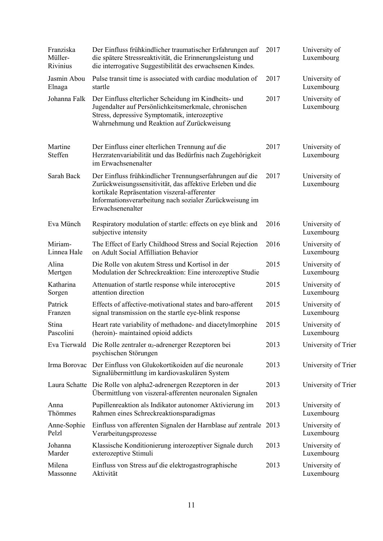| Franziska<br>Müller-<br>Rivinius | Der Einfluss frühkindlicher traumatischer Erfahrungen auf<br>die spätere Stressreaktivität, die Erinnerungsleistung und<br>die interrogative Suggestibilität des erwachsenen Kindes.                                                                 | 2017 | University of<br>Luxembourg |
|----------------------------------|------------------------------------------------------------------------------------------------------------------------------------------------------------------------------------------------------------------------------------------------------|------|-----------------------------|
| Jasmin Abou                      | Pulse transit time is associated with cardiac modulation of                                                                                                                                                                                          | 2017 | University of               |
| Elnaga                           | startle                                                                                                                                                                                                                                              |      | Luxembourg                  |
| Johanna Falk                     | Der Einfluss elterlicher Scheidung im Kindheits- und<br>Jugendalter auf Persönlichkeitsmerkmale, chronischen<br>Stress, depressive Symptomatik, interozeptive<br>Wahrnehmung und Reaktion auf Zurückweisung                                          | 2017 | University of<br>Luxembourg |
| Martine<br>Steffen               | Der Einfluss einer elterlichen Trennung auf die<br>Herzratenvariabilität und das Bedürfnis nach Zugehörigkeit<br>im Erwachsenenalter                                                                                                                 | 2017 | University of<br>Luxembourg |
| Sarah Back                       | Der Einfluss frühkindlicher Trennungserfahrungen auf die<br>Zurückweisungssensitivität, das affektive Erleben und die<br>kortikale Repräsentation viszeral-afferenter<br>Informationsverarbeitung nach sozialer Zurückweisung im<br>Erwachsenenalter | 2017 | University of<br>Luxembourg |
| Eva Münch                        | Respiratory modulation of startle: effects on eye blink and<br>subjective intensity                                                                                                                                                                  | 2016 | University of<br>Luxembourg |
| Miriam-                          | The Effect of Early Childhood Stress and Social Rejection                                                                                                                                                                                            | 2016 | University of               |
| Linnea Hale                      | on Adult Social Affilliation Behavior                                                                                                                                                                                                                |      | Luxembourg                  |
| Alina                            | Die Rolle von akutem Stress und Kortisol in der                                                                                                                                                                                                      | 2015 | University of               |
| Mertgen                          | Modulation der Schreckreaktion: Eine interozeptive Studie                                                                                                                                                                                            |      | Luxembourg                  |
| Katharina                        | Attenuation of startle response while interoceptive                                                                                                                                                                                                  | 2015 | University of               |
| Sorgen                           | attention direction                                                                                                                                                                                                                                  |      | Luxembourg                  |
| Patrick                          | Effects of affective-motivational states and baro-afferent                                                                                                                                                                                           | 2015 | University of               |
| Franzen                          | signal transmission on the startle eye-blink response                                                                                                                                                                                                |      | Luxembourg                  |
| Stina                            | Heart rate variability of methadone- and diacetylmorphine                                                                                                                                                                                            | 2015 | University of               |
| Pascolini                        | (heroin)- maintained opioid addicts                                                                                                                                                                                                                  |      | Luxembourg                  |
| Eva Tierwald                     | Die Rolle zentraler $\alpha_2$ -adrenerger Rezeptoren bei<br>psychischen Störungen                                                                                                                                                                   | 2013 | University of Trier         |
| Irma Borovac                     | Der Einfluss von Glukokortikoiden auf die neuronale<br>Signalübermittlung im kardiovaskulären System                                                                                                                                                 | 2013 | University of Trier         |
| Laura Schatte                    | Die Rolle von alpha2-adrenergen Rezeptoren in der<br>Übermittlung von viszeral-afferenten neuronalen Signalen                                                                                                                                        | 2013 | University of Trier         |
| Anna                             | Pupillenreaktion als Indikator autonomer Aktivierung im                                                                                                                                                                                              | 2013 | University of               |
| Thömmes                          | Rahmen eines Schreckreaktionsparadigmas                                                                                                                                                                                                              |      | Luxembourg                  |
| Anne-Sophie                      | Einfluss von afferenten Signalen der Harnblase auf zentrale 2013                                                                                                                                                                                     |      | University of               |
| Pelzl                            | Verarbeitungsprozesse                                                                                                                                                                                                                                |      | Luxembourg                  |
| Johanna                          | Klassische Konditionierung interozeptiver Signale durch                                                                                                                                                                                              | 2013 | University of               |
| Marder                           | exterozeptive Stimuli                                                                                                                                                                                                                                |      | Luxembourg                  |
| Milena                           | Einfluss von Stress auf die elektrogastrographische                                                                                                                                                                                                  | 2013 | University of               |
| Massonne                         | Aktivität                                                                                                                                                                                                                                            |      | Luxembourg                  |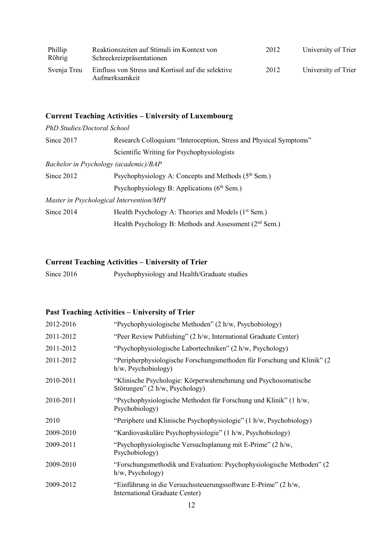| Phillip<br>Röhrig | Reaktionszeiten auf Stimuli im Kontext von<br>Schreckreizpräsentationen | 2012 | University of Trier |
|-------------------|-------------------------------------------------------------------------|------|---------------------|
| Svenja Treu       | Einfluss von Stress und Kortisol auf die selektive<br>Aufmerksamkeit    | 2012 | University of Trier |

# **Current Teaching Activities – University of Luxembourg**

*PhD Studies/Doctoral School*

| Since 2017 | Research Colloquium "Interoception, Stress and Physical Symptoms" |  |
|------------|-------------------------------------------------------------------|--|
|            | Scientific Writing for Psychophysiologists                        |  |
|            | Bachelor in Psychology (academic)/BAP                             |  |
| Since 2012 | Psychophysiology A: Concepts and Methods (5 <sup>th</sup> Sem.)   |  |
|            | Psychophysiology B: Applications $(6th$ Sem.)                     |  |
|            | Master in Psychological Intervention/MPI                          |  |
| Since 2014 | Health Psychology A: Theories and Models (1 <sup>st</sup> Sem.)   |  |
|            | Health Psychology B: Methods and Assessment $(2nd$ Sem.)          |  |
|            |                                                                   |  |

## **Current Teaching Activities – University of Trier**

Since 2016 Psychophysiology and Health/Graduate studies

## **Past Teaching Activities – University of Trier**

| 2012-2016 | "Psychophysiologische Methoden" (2 h/w, Psychobiology)                                            |
|-----------|---------------------------------------------------------------------------------------------------|
| 2011-2012 | "Peer Review Publishing" (2 h/w, International Graduate Center)                                   |
| 2011-2012 | "Psychophysiologische Labortechniken" (2 h/w, Psychology)                                         |
| 2011-2012 | "Peripherphysiologische Forschungsmethoden für Forschung und Klinik" (2<br>$h/w$ , Psychobiology) |
| 2010-2011 | "Klinische Psychologie: Körperwahrnehmung und Psychosomatische<br>Störungen" (2 h/w, Psychology)  |
| 2010-2011 | "Psychophysiologische Methoden für Forschung und Klinik" (1 h/w,<br>Psychobiology)                |
| 2010      | "Periphere und Klinische Psychophysiologie" (1 h/w, Psychobiology)                                |
| 2009-2010 | "Kardiovaskuläre Psychophysiologie" (1 h/w, Psychobiology)                                        |
| 2009-2011 | "Psychophysiologische Versuchsplanung mit E-Prime" (2 h/w,<br>Psychobiology)                      |
| 2009-2010 | "Forschungsmethodik und Evaluation: Psychophysiologische Methoden" (2<br>$h/w$ , Psychology)      |
| 2009-2012 | "Einführung in die Versuchssteuerungssoftware E-Prime" (2 h/w,<br>International Graduate Center)  |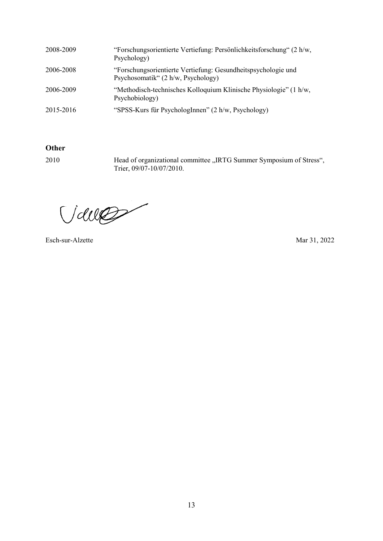| 2008-2009 | "Forschungsorientierte Vertiefung: Persönlichkeitsforschung" (2 h/w,<br>Psychology)                 |
|-----------|-----------------------------------------------------------------------------------------------------|
| 2006-2008 | "Forschungsorientierte Vertiefung: Gesundheitspsychologie und<br>Psychosomatik" (2 h/w, Psychology) |
| 2006-2009 | "Methodisch-technisches Kolloquium Klinische Physiologie" (1 h/w,<br>Psychobiology)                 |
| 2015-2016 | "SPSS-Kurs für PsychologInnen" (2 h/w, Psychology)                                                  |

## **Other**

2010 Head of organizational committee "IRTG Summer Symposium of Stress", Trier, 09/07-10/07/2010.

Valle

Esch-sur-Alzette Mar 31, 2022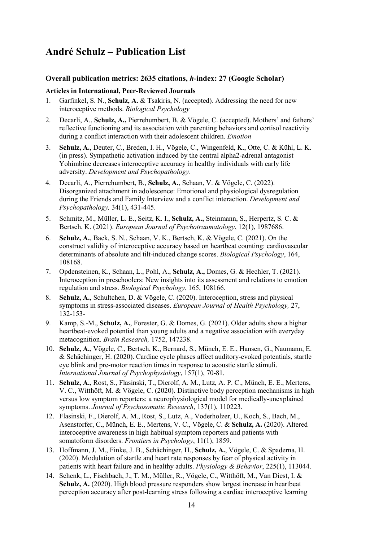## **André Schulz – Publication List**

### **Overall publication metrics: 2635 citations,** *h***-index: 27 (Google Scholar)**

#### **Articles in International, Peer-Reviewed Journals**

- 1. Garfinkel, S. N., **Schulz, A.** & Tsakiris, N. (accepted). Addressing the need for new interoceptive methods. *Biological Psychology*
- 2. Decarli, A., **Schulz, A.,** Pierrehumbert, B. & Vögele, C. (accepted). Mothers' and fathers' reflective functioning and its association with parenting behaviors and cortisol reactivity during a conflict interaction with their adolescent children. *Emotion*
- 3. **Schulz, A.**, Deuter, C., Breden, I. H., Vögele, C., Wingenfeld, K., Otte, C. & Kühl, L. K. (in press). Sympathetic activation induced by the central alpha2-adrenal antagonist Yohimbine decreases interoceptive accuracy in healthy individuals with early life adversity. *Development and Psychopathology*.
- 4. Decarli, A., Pierrehumbert, B., **Schulz, A.**, Schaan, V. & Vögele, C. (2022). Disorganized attachment in adolescence: Emotional and physiological dysregulation during the Friends and Family Interview and a conflict interaction. *Development and Psychopathology,* 34(1), 431-445.
- 5. Schmitz, M., Müller, L. E., Seitz, K. I., **Schulz, A.,** Steinmann, S., Herpertz, S. C. & Bertsch, K. (2021). *European Journal of Psychotraumatology*, 12(1), 1987686.
- 6. **Schulz, A.**, Back, S. N., Schaan, V. K., Bertsch, K. & Vögele, C. (2021). On the construct validity of interoceptive accuracy based on heartbeat counting: cardiovascular determinants of absolute and tilt-induced change scores. *Biological Psychology*, 164, 108168.
- 7. Opdensteinen, K., Schaan, L., Pohl, A., **Schulz, A.,** Domes, G. & Hechler, T. (2021). Interoception in preschoolers: New insights into its assessment and relations to emotion regulation and stress. *Biological Psychology*, 165, 108166.
- 8. **Schulz, A.**, Schultchen, D. & Vögele, C. (2020). Interoception, stress and physical symptoms in stress-associated diseases. *European Journal of Health Psychology,* 27, 132-153-
- 9. Kamp, S.-M., **Schulz, A.**, Forester, G. & Domes, G. (2021). Older adults show a higher heartbeat-evoked potential than young adults and a negative association with everyday metacognition. *Brain Research,* 1752, 147238.
- 10. **Schulz, A.**, Vögele, C., Bertsch, K., Bernard, S., Münch, E. E., Hansen, G., Naumann, E. & Schächinger, H. (2020). Cardiac cycle phases affect auditory-evoked potentials, startle eye blink and pre-motor reaction times in response to acoustic startle stimuli. *International Journal of Psychophysiology*, 157(1), 70-81.
- 11. **Schulz, A.**, Rost, S., Flasinski, T., Dierolf, A. M., Lutz, A. P. C., Münch, E. E., Mertens, V. C., Witthöft, M. & Vögele, C. (2020). Distinctive body perception mechanisms in high versus low symptom reporters: a neurophysiological model for medically-unexplained symptoms. *Journal of Psychosomatic Research*, 137(1), 110223.
- 12. Flasinski, F., Dierolf, A. M., Rost, S., Lutz, A., Voderholzer, U., Koch, S., Bach, M., Asenstorfer, C., Münch, E. E., Mertens, V. C., Vögele, C. & **Schulz, A.** (2020). Altered interoceptive awareness in high habitual symptom reporters and patients with somatoform disorders. *Frontiers in Psychology*, 11(1), 1859.
- 13. Hoffmann, J. M., Finke, J. B., Schächinger, H., **Schulz, A.**, Vögele, C. & Spaderna, H. (2020). Modulation of startle and heart rate responses by fear of physical activity in patients with heart failure and in healthy adults. *Physiology & Behavior*, 225(1), 113044.
- 14. Schenk, L., Fischbach, J., T. M., Müller, R., Vögele, C., Witthöft, M., Van Diest, I. & **Schulz, A.** (2020). High blood pressure responders show largest increase in heartbeat perception accuracy after post-learning stress following a cardiac interoceptive learning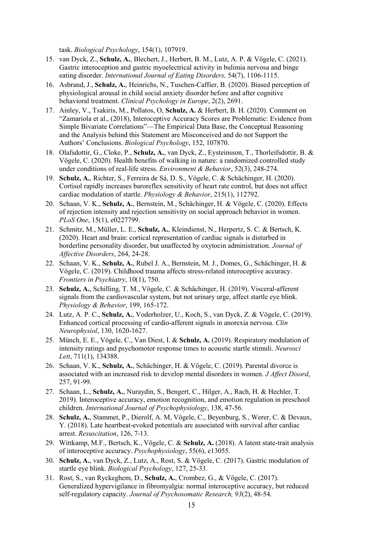task. *Biological Psychology*, 154(1), 107919.

- 15. van Dyck, Z., **Schulz, A.**, Blechert, J., Herbert, B. M., Lutz, A. P. & Vögele, C. (2021). Gastric interoception and gastric myoelectrical activity in bulimia nervosa and binge eating disorder. *International Journal of Eating Disorders,* 54(7), 1106-1115.
- 16. Asbrand, J., **Schulz, A.**, Heinrichs, N., Tuschen-Caffier, B. (2020). Biased perception of physiological arousal in child social anxiety disorder before and after cognitive behavioral treatment. *Clinical Psychology in Europe*, 2(2), 2691.
- 17. Ainley, V., Tsakiris, M., Pollatos, O, **Schulz, A.** & Herbert, B. H. (2020). Comment on "Zamariola et al., (2018), Interoceptive Accuracy Scores are Problematic: Evidence from Simple Bivariate Correlations"—The Empirical Data Base, the Conceptual Reasoning and the Analysis behind this Statement are Misconceived and do not Support the Authors' Conclusions. *Biological Psychology*, 152, 107870.
- 18. Olafsdottir, G., Cloke, P., **Schulz, A.**, van Dyck, Z., Eysteinsson, T., Thorleifsdottir, B. & Vögele, C. (2020). Health benefits of walking in nature: a randomized controlled study under conditions of real-life stress. *Environment & Behavior*, 52(3), 248-274.
- 19. **Schulz, A.**, Richter, S., Ferreira de Sá, D. S., Vögele, C. & Schächinger, H. (2020). Cortisol rapidly increases baroreflex sensitivity of heart rate control, but does not affect cardiac modulation of startle. *Physiology & Behavior*, 215(1), 112792.
- 20. Schaan, V. K., **Schulz, A.**, Bernstein, M., Schächinger, H. & Vögele, C. (2020). Effects of rejection intensity and rejection sensitivity on social approach behavior in women. *PLoS One*, 15(1), e0227799.
- 21. Schmitz, M., Müller, L. E., **Schulz, A.**, Kleindienst, N., Herpertz, S. C. & Bertsch, K. (2020). Heart and brain: cortical representation of cardiac signals is disturbed in borderline personality disorder, but unaffected by oxytocin administration. *Journal of Affective Disorders*, 264, 24-28.
- 22. Schaan, V. K., **Schulz, A.**, Rubel J. A., Bernstein, M. J., Domes, G., Schächinger, H. & Vögele, C. (2019). Childhood trauma affects stress-related interoceptive accuracy. *Frontiers in Psychiatry*, 10(1), 750.
- 23. **Schulz, A.**, Schilling, T. M., Vögele, C. & Schächinger, H. (2019). Visceral-afferent signals from the cardiovascular system, but not urinary urge, affect startle eye blink. *Physiology & Behavior*, 199, 165-172.
- 24. Lutz, A. P. C., **Schulz, A.**, Voderholzer, U., Koch, S., van Dyck, Z. & Vögele, C. (2019). Enhanced cortical processing of cardio-afferent signals in anorexia nervosa. *Clin Neurophysiol*, 130, 1620-1627.
- 25. Münch, E. E., Vögele, C., Van Diest, I. & **Schulz, A.** (2019). Respiratory modulation of intensity ratings and psychomotor response times to acoustic startle stimuli. *Neurosci Lett*, 711(1), 134388.
- 26. Schaan, V. K., **Schulz, A.**, Schächinger, H. & Vögele, C. (2019). Parental divorce is associated with an increased risk to develop mental disorders in women. *J Affect Disord*, 257, 91-99.
- 27. Schaan, L., **Schulz, A.**, Nuraydin, S., Bengert, C., Hilger, A., Rach, H. & Hechler, T. 2019). Interoceptive accuracy, emotion recognition, and emotion regulation in preschool children. *International Journal of Psychophysiology*, 138, 47-56.
- 28. **Schulz, A.**, Stammet, P., Dierolf, A. M, Vögele, C., Beyenburg, S., Werer, C. & Devaux, Y. (2018). Late heartbeat-evoked potentials are associated with survival after cardiac arrest. *Resuscitation*, 126, 7-13.
- 29. Wittkamp, M.F., Bertsch, K., Vögele, C. & **Schulz, A.** (2018). A latent state-trait analysis of interoceptive accuracy. *Psychophysiology*, 55(6), e13055.
- 30. **Schulz, A.**, van Dyck, Z., Lutz, A., Rost, S. & Vögele, C. (2017). Gastric modulation of startle eye blink. *Biological Psychology*, 127, 25-33.
- 31. Rost, S., van Ryckeghem, D., **Schulz, A.**, Crombez, G., & Vögele, C. (2017). Generalized hypervigilance in fibromyalgia: normal interoceptive accuracy, but reduced self-regulatory capacity. *Journal of Psychosomatic Research, 93*(2), 48-54.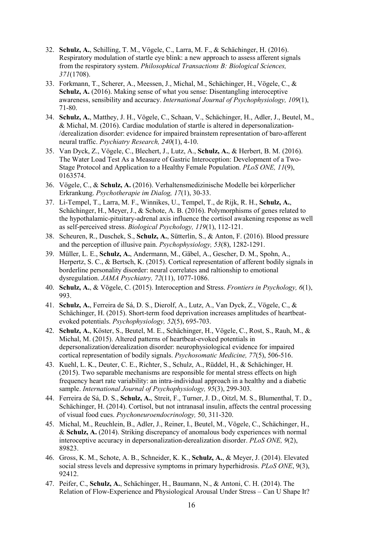- 32. **Schulz, A.**, Schilling, T. M., Vögele, C., Larra, M. F., & Schächinger, H. (2016). Respiratory modulation of startle eye blink: a new approach to assess afferent signals from the respiratory system. *Philosophical Transactions B: Biological Sciences, 371*(1708).
- 33. Forkmann, T., Scherer, A., Meessen, J., Michal, M., Schächinger, H., Vögele, C., & **Schulz, A.** (2016). Making sense of what you sense: Disentangling interoceptive awareness, sensibility and accuracy. *International Journal of Psychophysiology, 109*(1), 71-80.
- 34. **Schulz, A.**, Matthey, J. H., Vögele, C., Schaan, V., Schächinger, H., Adler, J., Beutel, M., & Michal, M. (2016). Cardiac modulation of startle is altered in depersonalization- /derealization disorder: evidence for impaired brainstem representation of baro-afferent neural traffic. *Psychiatry Research, 240*(1), 4-10.
- 35. Van Dyck, Z., Vögele, C., Blechert, J., Lutz, A., **Schulz, A.**, & Herbert, B. M. (2016). The Water Load Test As a Measure of Gastric Interoception: Development of a Two-Stage Protocol and Application to a Healthy Female Population. *PLoS ONE, 11*(9), 0163574.
- 36. Vögele, C., & **Schulz, A.** (2016). Verhaltensmedizinische Modelle bei körperlicher Erkrankung. *Psychotherapie im Dialog, 17*(1), 30-33.
- 37. Li-Tempel, T., Larra, M. F., Winnikes, U., Tempel, T., de Rijk, R. H., **Schulz, A.**, Schächinger, H., Meyer, J., & Schote, A. B. (2016). Polymorphisms of genes related to the hypothalamic-pituitary-adrenal axis influence the cortisol awakening response as well as self-perceived stress. *Biological Psychology, 119*(1), 112-121.
- 38. Scheuren, R., Duschek, S., **Schulz, A.**, Sütterlin, S., & Anton, F. (2016). Blood pressure and the perception of illusive pain. *Psychophysiology, 53*(8), 1282-1291.
- 39. Müller, L. E., **Schulz, A.**, Andermann, M., Gäbel, A., Gescher, D. M., Spohn, A., Herpertz, S. C., & Bertsch, K. (2015). Cortical representation of afferent bodily signals in borderline personality disorder: neural correlates and raltionship to emotional dysregulation. *JAMA Psychiatry, 72*(11), 1077-1086.
- 40. **Schulz, A.**, & Vögele, C. (2015). Interoception and Stress. *Frontiers in Psychology, 6*(1), 993.
- 41. **Schulz, A.**, Ferreira de Sá, D. S., Dierolf, A., Lutz, A., Van Dyck, Z., Vögele, C., & Schächinger, H. (2015). Short-term food deprivation increases amplitudes of heartbeatevoked potentials. *Psychophysiology, 52*(5), 695-703.
- 42. **Schulz, A.**, Köster, S., Beutel, M. E., Schächinger, H., Vögele, C., Rost, S., Rauh, M., & Michal, M. (2015). Altered patterns of heartbeat-evoked potentials in depersonalization/derealization disorder: neurophysiological evidence for impaired cortical representation of bodily signals. *Psychosomatic Medicine, 77*(5), 506-516.
- 43. Kuehl, L. K., Deuter, C. E., Richter, S., Schulz, A., Rüddel, H., & Schächinger, H. (2015). Two separable mechanisms are responsible for mental stress effects on high frequency heart rate variability: an intra-individual approach in a healthy and a diabetic sample. *International Journal of Psychophysiology, 95*(3), 299-303.
- 44. Ferreira de Sá, D. S., **Schulz, A.**, Streit, F., Turner, J. D., Oitzl, M. S., Blumenthal, T. D., Schächinger, H. (2014). Cortisol, but not intranasal insulin, affects the central processing of visual food cues. *Psychoneuroendocrinology,* 50, 311-320.
- 45. Michal, M., Reuchlein, B., Adler, J., Reiner, I., Beutel, M., Vögele, C., Schächinger, H., & **Schulz, A.** (2014). Striking discrepancy of anomalous body experiences with normal interoceptive accuracy in depersonalization-derealization disorder. *PLoS ONE, 9*(2), 89823.
- 46. Gross, K. M., Schote, A. B., Schneider, K. K., **Schulz, A.**, & Meyer, J. (2014). Elevated social stress levels and depressive symptoms in primary hyperhidrosis. *PLoS ONE*, 9(3), 92412.
- 47. Peifer, C., **Schulz, A.**, Schächinger, H., Baumann, N., & Antoni, C. H. (2014). The Relation of Flow-Experience and Physiological Arousal Under Stress – Can U Shape It?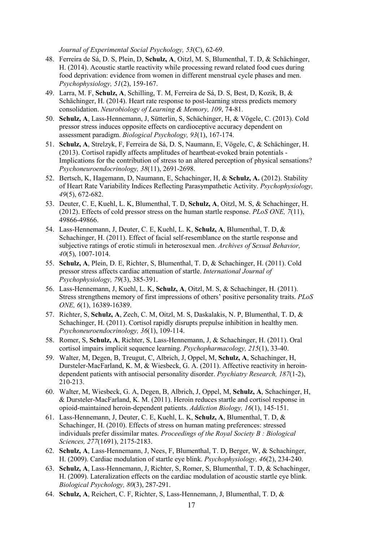*Journal of Experimental Social Psychology, 53*(C), 62-69.

- 48. Ferreira de Sá, D. S, Plein, D, **Schulz, A**, Oitzl, M. S, Blumenthal, T. D, & Schächinger, H. (2014). Acoustic startle reactivity while processing reward related food cues during food deprivation: evidence from women in different menstrual cycle phases and men. *Psychophysiology, 51*(2), 159-167.
- 49. Larra, M. F, **Schulz, A**, Schilling, T. M, Ferreira de Sá, D. S, Best, D, Kozik, B, & Schächinger, H. (2014). Heart rate response to post-learning stress predicts memory consolidation. *Neurobiology of Learning & Memory, 109*, 74-81.
- 50. **Schulz, A**, Lass-Hennemann, J, Sütterlin, S, Schächinger, H, & Vögele, C. (2013). Cold pressor stress induces opposite effects on cardioceptive accuracy dependent on assessment paradigm. *Biological Psychology, 93*(1), 167-174.
- 51. **Schulz, A**, Strelzyk, F, Ferreira de Sá, D. S, Naumann, E, Vögele, C, & Schächinger, H. (2013). Cortisol rapidly affects amplitudes of heartbeat-evoked brain potentials - Implications for the contribution of stress to an altered perception of physical sensations? *Psychoneuroendocrinology, 38*(11), 2691-2698.
- 52. Bertsch, K, Hagemann, D, Naumann, E, Schachinger, H, & **Schulz, A.** (2012). Stability of Heart Rate Variability Indices Reflecting Parasympathetic Activity. *Psychophysiology, 49*(5), 672-682.
- 53. Deuter, C. E, Kuehl, L. K, Blumenthal, T. D, **Schulz, A**, Oitzl, M. S, & Schachinger, H. (2012). Effects of cold pressor stress on the human startle response. *PLoS ONE, 7*(11), 49866-49866.
- 54. Lass-Hennemann, J, Deuter, C. E, Kuehl, L. K, **Schulz, A**, Blumenthal, T. D, & Schachinger, H. (2011). Effect of facial self-resemblance on the startle response and subjective ratings of erotic stimuli in heterosexual men. *Archives of Sexual Behavior, 40*(5), 1007-1014.
- 55. **Schulz, A**, Plein, D. E, Richter, S, Blumenthal, T. D, & Schachinger, H. (2011). Cold pressor stress affects cardiac attenuation of startle. *International Journal of Psychophysiology, 79*(3), 385-391.
- 56. Lass-Hennemann, J, Kuehl, L. K, **Schulz, A**, Oitzl, M. S, & Schachinger, H. (2011). Stress strengthens memory of first impressions of others' positive personality traits. *PLoS ONE, 6*(1), 16389-16389.
- 57. Richter, S, **Schulz, A**, Zech, C. M, Oitzl, M. S, Daskalakis, N. P, Blumenthal, T. D, & Schachinger, H. (2011). Cortisol rapidly disrupts prepulse inhibition in healthy men. *Psychoneuroendocrinology, 36*(1), 109-114.
- 58. Romer, S, **Schulz, A**, Richter, S, Lass-Hennemann, J, & Schachinger, H. (2011). Oral cortisol impairs implicit sequence learning. *Psychopharmacology, 215*(1), 33-40.
- 59. Walter, M, Degen, B, Treugut, C, Albrich, J, Oppel, M, **Schulz, A**, Schachinger, H, Dursteler-MacFarland, K. M, & Wiesbeck, G. A. (2011). Affective reactivity in heroindependent patients with antisocial personality disorder. *Psychiatry Research, 187*(1-2), 210-213.
- 60. Walter, M, Wiesbeck, G. A, Degen, B, Albrich, J, Oppel, M, **Schulz, A**, Schachinger, H, & Dursteler-MacFarland, K. M. (2011). Heroin reduces startle and cortisol response in opioid-maintained heroin-dependent patients. *Addiction Biology, 16*(1), 145-151.
- 61. Lass-Hennemann, J, Deuter, C. E, Kuehl, L. K, **Schulz, A**, Blumenthal, T. D, & Schachinger, H. (2010). Effects of stress on human mating preferences: stressed individuals prefer dissimilar mates. *Proceedings of the Royal Society B : Biological Sciences, 277*(1691), 2175-2183.
- 62. **Schulz, A**, Lass-Hennemann, J, Nees, F, Blumenthal, T. D, Berger, W, & Schachinger, H. (2009). Cardiac modulation of startle eye blink. *Psychophysiology, 46*(2), 234-240.
- 63. **Schulz, A**, Lass-Hennemann, J, Richter, S, Romer, S, Blumenthal, T. D, & Schachinger, H. (2009). Lateralization effects on the cardiac modulation of acoustic startle eye blink. *Biological Psychology, 80*(3), 287-291.
- 64. **Schulz, A**, Reichert, C. F, Richter, S, Lass-Hennemann, J, Blumenthal, T. D, &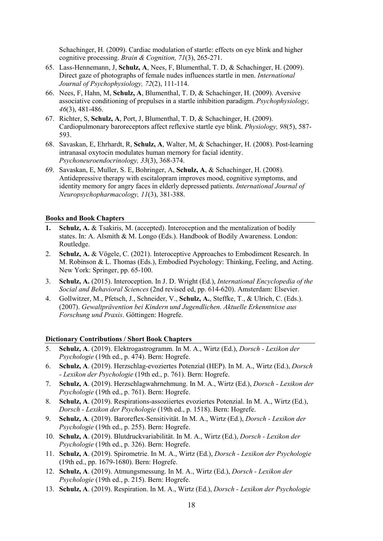Schachinger, H. (2009). Cardiac modulation of startle: effects on eye blink and higher cognitive processing. *Brain & Cognition, 71*(3), 265-271.

- 65. Lass-Hennemann, J, **Schulz, A**, Nees, F, Blumenthal, T. D, & Schachinger, H. (2009). Direct gaze of photographs of female nudes influences startle in men. *International Journal of Psychophysiology, 72*(2), 111-114.
- 66. Nees, F, Hahn, M, **Schulz, A**, Blumenthal, T. D, & Schachinger, H. (2009). Aversive associative conditioning of prepulses in a startle inhibition paradigm. *Psychophysiology, 46*(3), 481-486.
- 67. Richter, S, **Schulz, A**, Port, J, Blumenthal, T. D, & Schachinger, H. (2009). Cardiopulmonary baroreceptors affect reflexive startle eye blink. *Physiology, 98*(5), 587- 593.
- 68. Savaskan, E, Ehrhardt, R, **Schulz, A**, Walter, M, & Schachinger, H. (2008). Post-learning intranasal oxytocin modulates human memory for facial identity. *Psychoneuroendocrinology, 33*(3), 368-374.
- 69. Savaskan, E, Muller, S. E, Bohringer, A, **Schulz, A**, & Schachinger, H. (2008). Antidepressive therapy with escitalopram improves mood, cognitive symptoms, and identity memory for angry faces in elderly depressed patients. *International Journal of Neuropsychopharmacology, 11*(3), 381-388.

#### **Books and Book Chapters**

- **1. Schulz, A.** & Tsakiris, M. (accepted). Interoception and the mentalization of bodily states. In: A. Alsmith & M. Longo (Eds.). Handbook of Bodily Awareness. London: Routledge.
- 2. **Schulz, A.** & Vögele, C. (2021). Interoceptive Approaches to Embodiment Research. In M. Robinson & L. Thomas (Eds.), Embodied Psychology: Thinking, Feeling, and Acting. New York: Springer, pp. 65-100.
- 3. **Schulz, A.** (2015). Interoception. In J. D. Wright (Ed.), *International Encyclopedia of the Social and Behavioral Sciences* (2nd revised ed, pp. 614-620). Amsterdam: Elsevier.
- 4. Gollwitzer, M., Pfetsch, J., Schneider, V., **Schulz, A.**, Steffke, T., & Ulrich, C. (Eds.). (2007). *Gewaltprävention bei Kindern und Jugendlichen. Aktuelle Erkenntnisse aus Forschung und Praxis*. Göttingen: Hogrefe.

#### **Dictionary Contributions / Short Book Chapters**

- 5. **Schulz, A**. (2019). Elektrogastrogramm. In M. A., Wirtz (Ed.), *Dorsch Lexikon der Psychologie* (19th ed., p. 474). Bern: Hogrefe.
- 6. **Schulz, A**. (2019). Herzschlag-evoziertes Potenzial (HEP). In M. A., Wirtz (Ed.), *Dorsch - Lexikon der Psychologie* (19th ed., p. 761). Bern: Hogrefe.
- 7. **Schulz, A**. (2019). Herzschlagwahrnehmung. In M. A., Wirtz (Ed.), *Dorsch Lexikon der Psychologie* (19th ed., p. 761). Bern: Hogrefe.
- 8. **Schulz, A**. (2019). Respirations-assoziiertes evoziertes Potenzial. In M. A., Wirtz (Ed.), *Dorsch - Lexikon der Psychologie* (19th ed., p. 1518). Bern: Hogrefe.
- 9. **Schulz, A**. (2019). Baroreflex-Sensitivität. In M. A., Wirtz (Ed.), *Dorsch Lexikon der Psychologie* (19th ed., p. 255). Bern: Hogrefe.
- 10. **Schulz, A**. (2019). Blutdruckvariabilität. In M. A., Wirtz (Ed.), *Dorsch Lexikon der Psychologie* (19th ed., p. 326). Bern: Hogrefe.
- 11. **Schulz, A**. (2019). Spirometrie. In M. A., Wirtz (Ed.), *Dorsch Lexikon der Psychologie* (19th ed., pp. 1679-1680). Bern: Hogrefe.
- 12. **Schulz, A**. (2019). Atmungsmessung. In M. A., Wirtz (Ed.), *Dorsch Lexikon der Psychologie* (19th ed., p. 215). Bern: Hogrefe.
- 13. **Schulz, A**. (2019). Respiration. In M. A., Wirtz (Ed.), *Dorsch Lexikon der Psychologie*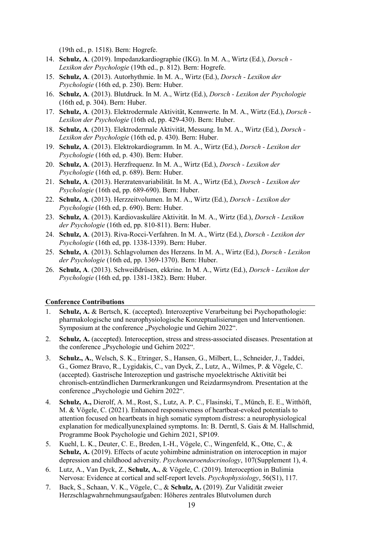(19th ed., p. 1518). Bern: Hogrefe.

- 14. **Schulz, A**. (2019). Impedanzkardiographie (IKG). In M. A., Wirtz (Ed.), *Dorsch Lexikon der Psychologie* (19th ed., p. 812). Bern: Hogrefe.
- 15. **Schulz, A**. (2013). Autorhythmie. In M. A., Wirtz (Ed.), *Dorsch Lexikon der Psychologie* (16th ed, p. 230). Bern: Huber.
- 16. **Schulz, A**. (2013). Blutdruck. In M. A., Wirtz (Ed.), *Dorsch Lexikon der Psychologie* (16th ed, p. 304). Bern: Huber.
- 17. **Schulz, A**. (2013). Elektrodermale Aktivität, Kennwerte. In M. A., Wirtz (Ed.), *Dorsch Lexikon der Psychologie* (16th ed, pp. 429-430). Bern: Huber.
- 18. **Schulz, A**. (2013). Elektrodermale Aktivität, Messung. In M. A., Wirtz (Ed.), *Dorsch Lexikon der Psychologie* (16th ed, p. 430). Bern: Huber.
- 19. **Schulz, A**. (2013). Elektrokardiogramm. In M. A., Wirtz (Ed.), *Dorsch Lexikon der Psychologie* (16th ed, p. 430). Bern: Huber.
- 20. **Schulz, A**. (2013). Herzfrequenz. In M. A., Wirtz (Ed.), *Dorsch Lexikon der Psychologie* (16th ed, p. 689). Bern: Huber.
- 21. **Schulz, A**. (2013). Herzratenvariabilität. In M. A., Wirtz (Ed.), *Dorsch Lexikon der Psychologie* (16th ed, pp. 689-690). Bern: Huber.
- 22. **Schulz, A**. (2013). Herzzeitvolumen. In M. A., Wirtz (Ed.), *Dorsch Lexikon der Psychologie* (16th ed, p. 690). Bern: Huber.
- 23. **Schulz, A**. (2013). Kardiovaskuläre Aktivität. In M. A., Wirtz (Ed.), *Dorsch Lexikon der Psychologie* (16th ed, pp. 810-811). Bern: Huber.
- 24. **Schulz, A**. (2013). Riva-Rocci-Verfahren. In M. A., Wirtz (Ed.), *Dorsch Lexikon der Psychologie* (16th ed, pp. 1338-1339). Bern: Huber.
- 25. **Schulz, A**. (2013). Schlagvolumen des Herzens. In M. A., Wirtz (Ed.), *Dorsch Lexikon der Psychologie* (16th ed, pp. 1369-1370). Bern: Huber.
- 26. **Schulz, A**. (2013). Schweißdrüsen, ekkrine. In M. A., Wirtz (Ed.), *Dorsch Lexikon der Psychologie* (16th ed, pp. 1381-1382). Bern: Huber.

#### **Conference Contributions**

- 1. **Schulz, A.** & Bertsch, K. (accepted). Interozeptive Verarbeitung bei Psychopathologie: pharmakologische und neurophysiologische Konzeptualisierungen und Interventionen. Symposium at the conference ..Psychologie und Gehirn 2022".
- 2. **Schulz, A.** (accepted). Interoception, stress and stress-associated diseases. Presentation at the conference "Psychologie und Gehirn 2022".
- 3. **Schulz., A.**, Welsch, S. K., Etringer, S., Hansen, G., Milbert, L., Schneider, J., Taddei, G., Gomez Bravo, R., Lygidakis, C., van Dyck, Z., Lutz, A., Wilmes, P. & Vögele, C. (accepted). Gastrische Interozeption und gastrische myoelektrische Aktivität bei chronisch-entzündlichen Darmerkrankungen und Reizdarmsyndrom. Presentation at the conference "Psychologie und Gehirn 2022".
- 4. **Schulz, A.,** Dierolf, A. M., Rost, S., Lutz, A. P. C., Flasinski, T., Münch, E. E., Witthöft, M. & Vögele, C. (2021). Enhanced responsiveness of heartbeat-evoked potentials to attention focused on heartbeats in high somatic symptom distress: a neurophysiological explanation for medicallyunexplained symptoms. In: B. Derntl, S. Gais & M. Hallschmid, Programme Book Psychologie und Gehirn 2021, SP109.
- 5. Kuehl, L. K., Deuter, C. E., Breden, I.-H., Vögele, C., Wingenfeld, K., Otte, C., & **Schulz, A.** (2019). Effects of acute yohimbine administration on interoception in major depression and childhood adversity. *Psychoneuroendocrinology*, 107(Supplement 1), 4.
- 6. Lutz, A., Van Dyck, Z., **Schulz, A.**, & Vögele, C. (2019). Interoception in Bulimia Nervosa: Evidence at cortical and self-report levels. *Psychophysiology*, 56(S1), 117.
- 7. Back, S., Schaan, V. K., Vögele, C., & **Schulz, A.** (2019). Zur Validität zweier Herzschlagwahrnehmungsaufgaben: Höheres zentrales Blutvolumen durch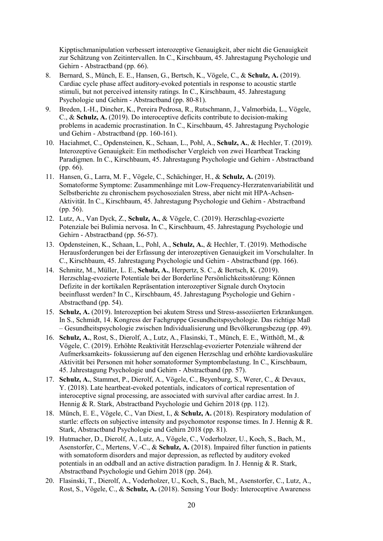Kipptischmanipulation verbessert interozeptive Genauigkeit, aber nicht die Genauigkeit zur Schätzung von Zeitintervallen. In C., Kirschbaum, 45. Jahrestagung Psychologie und Gehirn - Abstractband (pp. 66).

- 8. Bernard, S., Münch, E. E., Hansen, G., Bertsch, K., Vögele, C., & **Schulz, A.** (2019). Cardiac cycle phase affect auditory-evoked potentials in response to acoustic startle stimuli, but not perceived intensity ratings. In C., Kirschbaum, 45. Jahrestagung Psychologie und Gehirn - Abstractband (pp. 80-81).
- 9. Breden, I.-H., Dincher, K., Pereira Pedrosa, R., Rutschmann, J., Valmorbida, L., Vögele, C., & **Schulz, A.** (2019). Do interoceptive deficits contribute to decision-making problems in academic procrastination. In C., Kirschbaum, 45. Jahrestagung Psychologie und Gehirn - Abstractband (pp. 160-161).
- 10. Haciahmet, C., Opdensteinen, K., Schaan, L., Pohl, A., **Schulz, A.**, & Hechler, T. (2019). Interozeptive Genauigkeit: Ein methodischer Vergleich von zwei Heartbeat Tracking Paradigmen. In C., Kirschbaum, 45. Jahrestagung Psychologie und Gehirn - Abstractband (pp. 66).
- 11. Hansen, G., Larra, M. F., Vögele, C., Schächinger, H., & **Schulz, A.** (2019). Somatoforme Symptome: Zusammenhänge mit Low-Frequency-Herzratenvariabilität und Selbstberichte zu chronischem psychosozialen Stress, aber nicht mit HPA-Achsen-Aktivität. In C., Kirschbaum, 45. Jahrestagung Psychologie und Gehirn - Abstractband (pp. 56).
- 12. Lutz, A., Van Dyck, Z., **Schulz, A.**, & Vögele, C. (2019). Herzschlag-evozierte Potenziale bei Bulimia nervosa. In C., Kirschbaum, 45. Jahrestagung Psychologie und Gehirn - Abstractband (pp. 56-57).
- 13. Opdensteinen, K., Schaan, L., Pohl, A., **Schulz, A.**, & Hechler, T. (2019). Methodische Herausforderungen bei der Erfassung der interozeptiven Genauigkeit im Vorschulalter. In C., Kirschbaum, 45. Jahrestagung Psychologie und Gehirn - Abstractband (pp. 166).
- 14. Schmitz, M., Müller, L. E., **Schulz, A.**, Herpertz, S. C., & Bertsch, K. (2019). Herzschlag-evozierte Potentiale bei der Borderline Persönlichkeitsstörung: Können Defizite in der kortikalen Repräsentation interozeptiver Signale durch Oxytocin beeinflusst werden? In C., Kirschbaum, 45. Jahrestagung Psychologie und Gehirn - Abstractband (pp. 54).
- 15. **Schulz, A.** (2019). Interozeption bei akutem Stress und Stress-assoziierten Erkrankungen. In S., Schmidt, 14. Kongress der Fachgruppe Gesundheitspsychologie. Das richtige Maß ‒ Gesundheitspsychologie zwischen Individualisierung und Bevölkerungsbezug (pp. 49).
- 16. **Schulz, A.**, Rost, S., Dierolf, A., Lutz, A., Flasinski, T., Münch, E. E., Witthöft, M., & Vögele, C. (2019). Erhöhte Reaktivität Herzschlag-evozierter Potenziale während der Aufmerksamkeits- fokussierung auf den eigenen Herzschlag und erhöhte kardiovaskuläre Aktivität bei Personen mit hoher somatoformer Symptombelastung. In C., Kirschbaum, 45. Jahrestagung Psychologie und Gehirn - Abstractband (pp. 57).
- 17. **Schulz, A.**, Stammet, P., Dierolf, A., Vögele, C., Beyenburg, S., Werer, C., & Devaux, Y. (2018). Late heartbeat-evoked potentials, indicators of cortical representation of interoceptive signal processing, are associated with survival after cardiac arrest. In J. Hennig & R. Stark, Abstractband Psychologie und Gehirn 2018 (pp. 112).
- 18. Münch, E. E., Vögele, C., Van Diest, I., & **Schulz, A.** (2018). Respiratory modulation of startle: effects on subjective intensity and psychomotor response times. In J. Hennig & R. Stark, Abstractband Psychologie und Gehirn 2018 (pp. 81).
- 19. Hutmacher, D., Dierolf, A., Lutz, A., Vögele, C., Voderholzer, U., Koch, S., Bach, M., Asenstorfer, C., Mertens, V.-C., & **Schulz, A.** (2018). Impaired filter function in patients with somatoform disorders and major depression, as reflected by auditory evoked potentials in an oddball and an active distraction paradigm. In J. Hennig & R. Stark, Abstractband Psychologie und Gehirn 2018 (pp. 264).
- 20. Flasinski, T., Dierolf, A., Voderholzer, U., Koch, S., Bach, M., Asenstorfer, C., Lutz, A., Rost, S., Vögele, C., & **Schulz, A.** (2018). Sensing Your Body: Interoceptive Awareness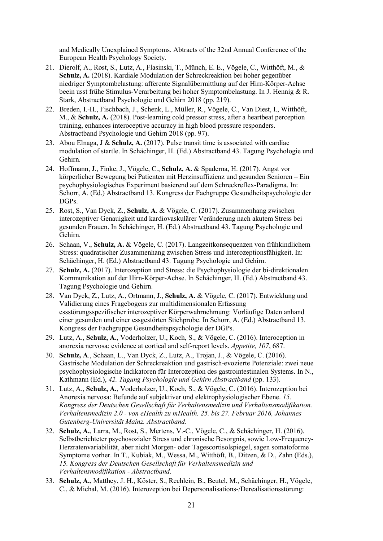and Medically Unexplained Symptoms. Abtracts of the 32nd Annual Conference of the European Health Psychology Society.

- 21. Dierolf, A., Rost, S., Lutz, A., Flasinski, T., Münch, E. E., Vögele, C., Witthöft, M., & **Schulz, A.** (2018). Kardiale Modulation der Schreckreaktion bei hoher gegenüber niedriger Symptombelastung: afferente Signalübermittlung auf der Hirn-Körper-Achse beein usst frühe Stimulus-Verarbeitung bei hoher Symptombelastung. In J. Hennig & R. Stark, Abstractband Psychologie und Gehirn 2018 (pp. 219).
- 22. Breden, I.-H., Fischbach, J., Schenk, L., Müller, R., Vögele, C., Van Diest, I., Witthöft, M., & **Schulz, A.** (2018). Post-learning cold pressor stress, after a heartbeat perception training, enhances interoceptive accuracy in high blood pressure responders. Abstractband Psychologie und Gehirn 2018 (pp. 97).
- 23. Abou Elnaga, J & **Schulz, A.** (2017). Pulse transit time is associated with cardiac modulation of startle. In Schächinger, H. (Ed.) Abstractband 43. Tagung Psychologie und Gehirn.
- 24. Hoffmann, J., Finke, J., Vögele, C., **Schulz, A.** & Spaderna, H. (2017). Angst vor körperlicher Bewegung bei Patienten mit Herzinsuffizienz und gesunden Senioren – Ein psychophysiologisches Experiment basierend auf dem Schreckreflex-Paradigma. In: Schorr, A. (Ed.) Abstractband 13. Kongress der Fachgruppe Gesundheitspsychologie der DGPs.
- 25. Rost, S., Van Dyck, Z., **Schulz, A.** & Vögele, C. (2017). Zusammenhang zwischen interozeptiver Genauigkeit und kardiovaskulärer Veränderung nach akutem Stress bei gesunden Frauen. In Schächinger, H. (Ed.) Abstractband 43. Tagung Psychologie und Gehirn.
- 26. Schaan, V., **Schulz, A.** & Vögele, C. (2017). Langzeitkonsequenzen von frühkindlichem Stress: quadratischer Zusammenhang zwischen Stress und Interozeptionsfähigkeit. In: Schächinger, H. (Ed.) Abstractband 43. Tagung Psychologie und Gehirn.
- 27. **Schulz, A.** (2017). Interozeption und Stress: die Psychophysiologie der bi-direktionalen Kommunikation auf der Hirn-Körper-Achse. In Schächinger, H. (Ed.) Abstractband 43. Tagung Psychologie und Gehirn.
- 28. Van Dyck, Z., Lutz, A., Ortmann, J., **Schulz, A.** & Vögele, C. (2017). Entwicklung und Validierung eines Fragebogens zur multidimensionalen Erfassung essstörungsspezifischer interozeptiver Körperwahrnehmung: Vorläufige Daten anhand einer gesunden und einer essgestörten Stichprobe. In Schorr, A. (Ed.) Abstractband 13. Kongress der Fachgruppe Gesundheitspsychologie der DGPs.
- 29. Lutz, A., **Schulz, A.**, Voderholzer, U., Koch, S., & Vögele, C. (2016). Interoception in anorexia nervosa: evidence at cortical and self-report levels. *Appetite, 107*, 687.
- 30. **Schulz, A**., Schaan, L., Van Dyck, Z., Lutz, A., Trojan, J., & Vögele, C. (2016). Gastrische Modulation der Schreckreaktion und gastrisch-evozierte Potenziale: zwei neue psychophysiologische Indikatoren für Interozeption des gastrointestinalen Systems. In N., Kathmann (Ed.), *42. Tagung Psychologie und Gehirn Abstractband* (pp. 133).
- 31. Lutz, A., **Schulz, A.**, Voderholzer, U., Koch, S., & Vögele, C. (2016). Interozeption bei Anorexia nervosa: Befunde auf subjektiver und elektrophysiologischer Ebene. *15. Kongress der Deutschen Gesellschaft für Verhaltensmedizin und Verhaltensmodifikation. Verhaltensmedizin 2.0 - von eHealth zu mHealth. 25. bis 27. Februar 2016, Johannes Gutenberg-Universität Mainz. Abstractband*.
- 32. **Schulz, A.**, Larra, M., Rost, S., Mertens, V.-C., Vögele, C., & Schächinger, H. (2016). Selbstberichteter psychosozialer Stress und chronische Besorgnis, sowie Low-Frequency-Herzratenvariabilität, aber nicht Morgen- oder Tagescortisolspiegel, sagen somatoforme Symptome vorher. In T., Kubiak, M., Wessa, M., Witthöft, B., Ditzen, & D., Zahn (Eds.), *15. Kongress der Deutschen Gesellschaft für Verhaltensmedizin und Verhaltensmodifikation - Abstractband*.
- 33. **Schulz, A.**, Matthey, J. H., Köster, S., Rechlein, B., Beutel, M., Schächinger, H., Vögele, C., & Michal, M. (2016). Interozeption bei Depersonalisations-/Derealisationsstörung: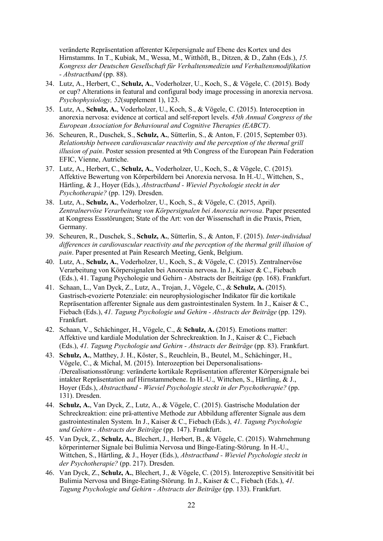veränderte Repräsentation afferenter Körpersignale auf Ebene des Kortex und des Hirnstamms. In T., Kubiak, M., Wessa, M., Witthöft, B., Ditzen, & D., Zahn (Eds.), *15. Kongress der Deutschen Gesellschaft für Verhaltensmedizin und Verhaltensmodifikation - Abstractband* (pp. 88).

- 34. Lutz, A., Herbert, C., **Schulz, A.**, Voderholzer, U., Koch, S., & Vögele, C. (2015). Body or cup? Alterations in featural and configural body image processing in anorexia nervosa. *Psychophysiology, 52*(supplement 1), 123.
- 35. Lutz, A., **Schulz, A.**, Voderholzer, U., Koch, S., & Vögele, C. (2015). Interoception in anorexia nervosa: evidence at cortical and self-report levels. *45th Annual Congress of the European Association for Behavioural and Cognitive Therapies (EABCT)*.
- 36. Scheuren, R., Duschek, S., **Schulz, A.**, Sütterlin, S., & Anton, F. (2015, September 03). *Relationship between cardiovascular reactivity and the perception of the thermal grill illusion of pain*. Poster session presented at 9th Congress of the European Pain Federation EFIC, Vienne, Autriche.
- 37. Lutz, A., Herbert, C., **Schulz, A.**, Voderholzer, U., Koch, S., & Vögele, C. (2015). Affektive Bewertung von Körperbildern bei Anorexia nervosa. In H.-U., Wittchen, S., Härtling, & J., Hoyer (Eds.), *Abstractband - Wieviel Psychologie steckt in der Psychotherapie?* (pp. 129). Dresden.
- 38. Lutz, A., **Schulz, A.**, Voderholzer, U., Koch, S., & Vögele, C. (2015, April). *Zentralnervöse Verarbeitung von Körpersignalen bei Anorexia nervosa*. Paper presented at Kongress Essstörungen; State of the Art: von der Wissenschaft in die Praxis, Prien, Germany.
- 39. Scheuren, R., Duschek, S., **Schulz, A.**, Sütterlin, S., & Anton, F. (2015). *Inter-individual differences in cardiovascular reactivity and the perception of the thermal grill illusion of pain*. Paper presented at Pain Research Meeting, Genk, Belgium.
- 40. Lutz, A., **Schulz, A.**, Voderholzer, U., Koch, S., & Vögele, C. (2015). Zentralnervöse Verarbeitung von Körpersignalen bei Anorexia nervosa. In J., Kaiser & C., Fiebach (Eds.), 41. Tagung Psychologie und Gehirn - Abstracts der Beiträge (pp. 168). Frankfurt.
- 41. Schaan, L., Van Dyck, Z., Lutz, A., Trojan, J., Vögele, C., & **Schulz, A.** (2015). Gastrisch-evozierte Potenziale: ein neurophysiologischer Indikator für die kortikale Repräsentation afferenter Signale aus dem gastrointestinalen System. In J., Kaiser & C., Fiebach (Eds.), *41. Tagung Psychologie und Gehirn - Abstracts der Beiträge* (pp. 129). Frankfurt.
- 42. Schaan, V., Schächinger, H., Vögele, C., & **Schulz, A.** (2015). Emotions matter: Affektive und kardiale Modulation der Schreckreaktion. In J., Kaiser & C., Fiebach (Eds.), *41. Tagung Psychologie und Gehirn - Abstracts der Beiträge* (pp. 83). Frankfurt.
- 43. **Schulz, A.**, Matthey, J. H., Köster, S., Reuchlein, B., Beutel, M., Schächinger, H., Vögele, C., & Michal, M. (2015). Interozeption bei Depersonalisations- /Derealisationsstörung: veränderte kortikale Repräsentation afferenter Körpersignale bei intakter Repräsentation auf Hirnstammebene. In H.-U., Wittchen, S., Härtling, & J., Hoyer (Eds.), *Abstractband - Wieviel Psychologie steckt in der Psychotherapie?* (pp. 131). Dresden.
- 44. **Schulz, A.**, Van Dyck, Z., Lutz, A., & Vögele, C. (2015). Gastrische Modulation der Schreckreaktion: eine prä-attentive Methode zur Abbildung afferenter Signale aus dem gastrointestinalen System. In J., Kaiser & C., Fiebach (Eds.), *41. Tagung Psychologie und Gehirn - Abstracts der Beiträge* (pp. 147). Frankfurt.
- 45. Van Dyck, Z., **Schulz, A.**, Blechert, J., Herbert, B., & Vögele, C. (2015). Wahrnehmung körperinterner Signale bei Bulimia Nervosa und Binge-Eating-Störung. In H.-U., Wittchen, S., Härtling, & J., Hoyer (Eds.), *Abstractband - Wieviel Psychologie steckt in der Psychotherapie?* (pp. 217). Dresden.
- 46. Van Dyck, Z., **Schulz, A.**, Blechert, J., & Vögele, C. (2015). Interozeptive Sensitivität bei Bulimia Nervosa und Binge-Eating-Störung. In J., Kaiser & C., Fiebach (Eds.), *41. Tagung Psychologie und Gehirn - Abstracts der Beiträge* (pp. 133). Frankfurt.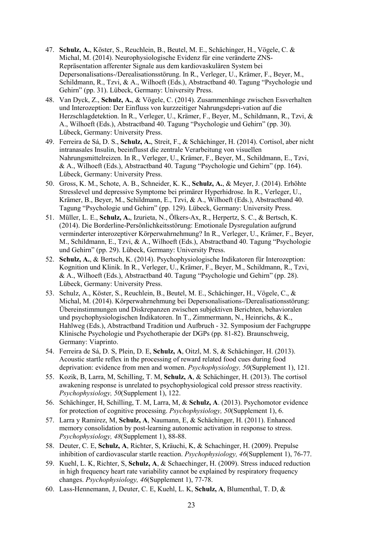- 47. **Schulz, A.**, Köster, S., Reuchlein, B., Beutel, M. E., Schächinger, H., Vögele, C. & Michal, M. (2014). Neurophysiologische Evidenz für eine veränderte ZNS-Repräsentation afferenter Signale aus dem kardiovaskulären System bei Depersonalisations-/Derealisationsstörung. In R., Verleger, U., Krämer, F., Beyer, M., Schildmann, R., Tzvi, & A., Wilhoeft (Eds.), Abstractband 40. Tagung "Psychologie und Gehirn" (pp. 31). Lübeck, Germany: University Press.
- 48. Van Dyck, Z., **Schulz, A.**, & Vögele, C. (2014). Zusammenhänge zwischen Essverhalten und Interozeption: Der Einfluss von kurzzeitiger Nahrungsdepri-vation auf die Herzschlagdetektion. In R., Verleger, U., Krämer, F., Beyer, M., Schildmann, R., Tzvi, & A., Wilhoeft (Eds.), Abstractband 40. Tagung "Psychologie und Gehirn" (pp. 30). Lübeck, Germany: University Press.
- 49. Ferreira de Sá, D. S., **Schulz, A.**, Streit, F., & Schächinger, H. (2014). Cortisol, aber nicht intranasales Insulin, beeinflusst die zentrale Verarbeitung von visuellen Nahrungsmittelreizen. In R., Verleger, U., Krämer, F., Beyer, M., Schildmann, E., Tzvi, & A., Wilhoeft (Eds.), Abstractband 40. Tagung "Psychologie und Gehirn" (pp. 164). Lübeck, Germany: University Press.
- 50. Gross, K. M., Schote, A. B., Schneider, K. K., **Schulz, A.**, & Meyer, J. (2014). Erhöhte Stresslevel und depressive Symptome bei primärer Hyperhidrose. In R., Verleger, U., Krämer, B., Beyer, M., Schildmann, E., Tzvi, & A., Wilhoeft (Eds.), Abstractband 40. Tagung "Psychologie und Gehirn" (pp. 129). Lübeck, Germany: University Press.
- 51. Müller, L. E., **Schulz, A.**, Izurieta, N., Ölkers-Ax, R., Herpertz, S. C., & Bertsch, K. (2014). Die Borderline-Persönlichkeitsstörung: Emotionale Dysregulation aufgrund verminderter interozeptiver Körperwahrnehmung? In R., Verleger, U., Krämer, F., Beyer, M., Schildmann, E., Tzvi, & A., Wilhoeft (Eds.), Abstractband 40. Tagung "Psychologie und Gehirn" (pp. 29). Lübeck, Germany: University Press.
- 52. **Schulz, A.**, & Bertsch, K. (2014). Psychophysiologische Indikatoren für Interozeption: Kognition und Klinik. In R., Verleger, U., Krämer, F., Beyer, M., Schildmann, R., Tzvi, & A., Wilhoeft (Eds.), Abstractband 40. Tagung "Psychologie und Gehirn" (pp. 28). Lübeck, Germany: University Press.
- 53. Schulz, A., Köster, S., Reuchlein, B., Beutel, M. E., Schächinger, H., Vögele, C., & Michal, M. (2014). Körperwahrnehmung bei Depersonalisations-/Derealisationsstörung: Übereinstimmungen und Diskrepanzen zwischen subjektiven Berichten, behavioralen und psychophysiologischen Indikatoren. In T., Zimmermann, N., Heinrichs, & K., Hahlweg (Eds.), Abstractband Tradition und Aufbruch - 32. Symposium der Fachgruppe Klinische Psychologie und Psychotherapie der DGPs (pp. 81-82). Braunschweig, Germany: Viaprinto.
- 54. Ferreira de Sá, D. S, Plein, D. E, **Schulz, A**, Oitzl, M. S, & Schächinger, H. (2013). Acoustic startle reflex in the processing of reward related food cues during food deprivation: evidence from men and women. *Psychophysiology, 50*(Supplement 1), 121.
- 55. Kozik, B, Larra, M, Schilling, T. M, **Schulz, A**, & Schächinger, H. (2013). The cortisol awakening response is unrelated to psychophysiological cold pressor stress reactivity. *Psychophysiology, 50*(Supplement 1), 122.
- 56. Schächinger, H, Schilling, T. M, Larra, M, & **Schulz, A**. (2013). Psychomotor evidence for protection of cognitive processing. *Psychophysiology, 50*(Supplement 1), 6.
- 57. Larra y Ramirez, M, **Schulz, A**, Naumann, E, & Schächinger, H. (2011). Enhanced memory consolidation by post-learning autonomic activation in response to stress. *Psychophysiology, 48*(Supplement 1), 88-88.
- 58. Deuter, C. E, **Schulz, A**, Richter, S, Kräuchi, K, & Schachinger, H. (2009). Prepulse inhibition of cardiovascular startle reaction. *Psychophysiology, 46*(Supplement 1), 76-77.
- 59. Kuehl, L. K, Richter, S, **Schulz, A**, & Schaechinger, H. (2009). Stress induced reduction in high frequency heart rate variability cannot be explained by respiratory frequency changes. *Psychophysiology, 46*(Supplement 1), 77-78.
- 60. Lass-Hennemann, J, Deuter, C. E, Kuehl, L. K, **Schulz, A**, Blumenthal, T. D, &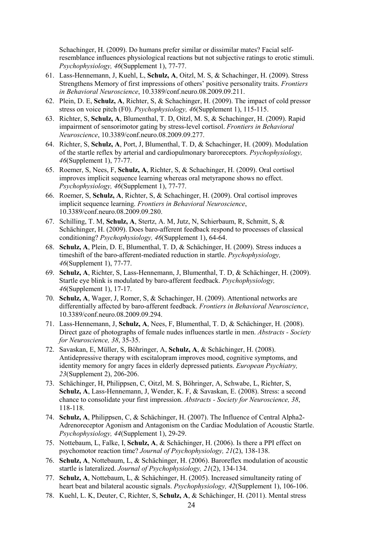Schachinger, H. (2009). Do humans prefer similar or dissimilar mates? Facial selfresemblance influences physiological reactions but not subjective ratings to erotic stimuli. *Psychophysiology, 46*(Supplement 1), 77-77.

- 61. Lass-Hennemann, J, Kuehl, L, **Schulz, A**, Oitzl, M. S, & Schachinger, H. (2009). Stress Strengthens Memory of first impressions of others' positive personality traits. *Frontiers in Behavioral Neuroscience*, 10.3389/conf.neuro.08.2009.09.211.
- 62. Plein, D. E, **Schulz, A**, Richter, S, & Schachinger, H. (2009). The impact of cold pressor stress on voice pitch (F0). *Psychophysiology, 46*(Supplement 1), 115-115.
- 63. Richter, S, **Schulz, A**, Blumenthal, T. D, Oitzl, M. S, & Schachinger, H. (2009). Rapid impairment of sensorimotor gating by stress-level cortisol. *Frontiers in Behavioral Neuroscience*, 10.3389/conf.neuro.08.2009.09.277.
- 64. Richter, S, **Schulz, A**, Port, J, Blumenthal, T. D, & Schachinger, H. (2009). Modulation of the startle reflex by arterial and cardiopulmonary baroreceptors. *Psychophysiology, 46*(Supplement 1), 77-77.
- 65. Roemer, S, Nees, F, **Schulz, A**, Richter, S, & Schachinger, H. (2009). Oral cortisol improves implicit sequence learning whereas oral metyrapone shows no effect. *Psychophysiology, 46*(Supplement 1), 77-77.
- 66. Roemer, S, **Schulz, A**, Richter, S, & Schachinger, H. (2009). Oral cortisol improves implicit sequence learning. *Frontiers in Behavioral Neuroscience*, 10.3389/conf.neuro.08.2009.09.280.
- 67. Schilling, T. M, **Schulz, A**, Stertz, A. M, Jutz, N, Schierbaum, R, Schmitt, S, & Schächinger, H. (2009). Does baro-afferent feedback respond to processes of classical conditioning? *Psychophysiology, 46*(Supplement 1), 64-64.
- 68. **Schulz, A**, Plein, D. E, Blumenthal, T. D, & Schächinger, H. (2009). Stress induces a timeshift of the baro-afferent-mediated reduction in startle. *Psychophysiology, 46*(Supplement 1), 77-77.
- 69. **Schulz, A**, Richter, S, Lass-Hennemann, J, Blumenthal, T. D, & Schächinger, H. (2009). Startle eye blink is modulated by baro-afferent feedback. *Psychophysiology, 46*(Supplement 1), 17-17.
- 70. **Schulz, A**, Wager, J, Romer, S, & Schachinger, H. (2009). Attentional networks are differentially affected by baro-afferent feedback. *Frontiers in Behavioral Neuroscience*, 10.3389/conf.neuro.08.2009.09.294.
- 71. Lass-Hennemann, J, **Schulz, A**, Nees, F, Blumenthal, T. D, & Schächinger, H. (2008). Direct gaze of photographs of female nudes influences startle in men. *Abstracts - Society for Neuroscience, 38*, 35-35.
- 72. Savaskan, E, Müller, S, Böhringer, A, **Schulz, A**, & Schächinger, H. (2008). Antidepressive therapy with escitalopram improves mood, cognitive symptoms, and identity memory for angry faces in elderly depressed patients. *European Psychiatry, 23*(Supplement 2), 206-206.
- 73. Schächinger, H, Philippsen, C, Oitzl, M. S, Böhringer, A, Schwabe, L, Richter, S, **Schulz, A**, Lass-Hennemann, J, Wender, K. F, & Savaskan, E. (2008). Stress: a second chance to consolidate your first impression. *Abstracts - Society for Neuroscience, 38*, 118-118.
- 74. **Schulz, A**, Philippsen, C, & Schächinger, H. (2007). The Influence of Central Alpha2- Adrenoreceptor Agonism and Antagonism on the Cardiac Modulation of Acoustic Startle. *Psychophysiology, 44*(Supplement 1), 29-29.
- 75. Nottebaum, L, Falke, I, **Schulz, A**, & Schächinger, H. (2006). Is there a PPI effect on psychomotor reaction time? *Journal of Psychophysiology, 21*(2), 138-138.
- 76. **Schulz, A**, Nottebaum, L, & Schächinger, H. (2006). Baroreflex modulation of acoustic startle is lateralized. *Journal of Psychophysiology, 21*(2), 134-134.
- 77. **Schulz, A**, Nottebaum, L, & Schächinger, H. (2005). Increased simultaneity rating of heart beat and bilateral acoustic signals. *Psychophysiology, 42*(Supplement 1), 106-106.
- 78. Kuehl, L. K, Deuter, C, Richter, S, **Schulz, A**, & Schächinger, H. (2011). Mental stress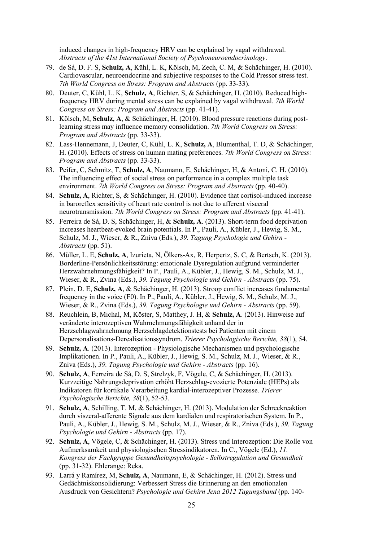induced changes in high-frequency HRV can be explained by vagal withdrawal. *Abstracts of the 41st International Society of Psychoneuroendocrinology*.

- 79. de Sá, D. F. S, **Schulz, A**, Kühl, L. K, Kölsch, M, Zech, C. M, & Schächinger, H. (2010). Cardiovascular, neuroendocrine and subjective responses to the Cold Pressor stress test. *7th World Congress on Stress: Program and Abstracts* (pp. 33-33).
- 80. Deuter, C, Kühl, L. K, **Schulz, A**, Richter, S, & Schächinger, H. (2010). Reduced highfrequency HRV during mental stress can be explained by vagal withdrawal. *7th World Congress on Stress: Program and Abstracts* (pp. 41-41).
- 81. Kölsch, M, **Schulz, A**, & Schächinger, H. (2010). Blood pressure reactions during postlearning stress may influence memory consolidation. *7th World Congress on Stress: Program and Abstracts* (pp. 33-33).
- 82. Lass-Hennemann, J, Deuter, C, Kühl, L. K, **Schulz, A**, Blumenthal, T. D, & Schächinger, H. (2010). Effects of stress on human mating preferences. *7th World Congress on Stress: Program and Abstracts* (pp. 33-33).
- 83. Peifer, C, Schmitz, T, **Schulz, A**, Naumann, E, Schächinger, H, & Antoni, C. H. (2010). The influencing effect of social stress on performance in a complex multiple task environment. *7th World Congress on Stress: Program and Abstracts* (pp. 40-40).
- 84. **Schulz, A**, Richter, S, & Schächinger, H. (2010). Evidence that cortisol-induced increase in baroreflex sensitivity of heart rate control is not due to afferent visceral neurotransmission. *7th World Congress on Stress: Program and Abstracts* (pp. 41-41).
- 85. Ferreira de Sá, D. S, Schächinger, H, & **Schulz, A**. (2013). Short-term food deprivation increases heartbeat-evoked brain potentials. In P., Pauli, A., Kübler, J., Hewig, S. M., Schulz, M. J., Wieser, & R., Zniva (Eds.), *39. Tagung Psychologie und Gehirn - Abstracts* (pp. 51).
- 86. Müller, L. E, **Schulz, A**, Izurieta, N, Ölkers-Ax, R, Herpertz, S. C, & Bertsch, K. (2013). Borderline-Persönlichkeitsstörung: emotionale Dysregulation aufgrund verminderter Herzwahrnehmungsfähigkeit? In P., Pauli, A., Kübler, J., Hewig, S. M., Schulz, M. J., Wieser, & R., Zvina (Eds.), *39. Tagung Psychologie und Gehirn - Abstracts* (pp. 75).
- 87. Plein, D. E, **Schulz, A**, & Schächinger, H. (2013). Stroop conflict increases fundamental frequency in the voice (F0). In P., Pauli, A., Kübler, J., Hewig, S. M., Schulz, M. J., Wieser, & R., Zvina (Eds.), *39. Tagung Psychologie und Gehirn - Abstracts* (pp. 59).
- 88. Reuchlein, B, Michal, M, Köster, S, Matthey, J. H, & **Schulz, A**. (2013). Hinweise auf veränderte interozeptiven Wahrnehmungsfähigkeit anhand der in Herzschlagwahrnehmung Herzschlagdetektionstests bei Patienten mit einem Depersonalisations-Derealisationssyndrom. *Trierer Psychologische Berichte, 38*(1), 54.
- 89. **Schulz, A**. (2013). Interozeption Physiologische Mechanismen und psychologische Implikationen. In P., Pauli, A., Kübler, J., Hewig, S. M., Schulz, M. J., Wieser, & R., Zniva (Eds.), *39. Tagung Psychologie und Gehirn - Abstracts* (pp. 16).
- 90. **Schulz, A**, Ferreira de Sá, D. S, Strelzyk, F, Vögele, C, & Schächinger, H. (2013). Kurzzeitige Nahrungsdeprivation erhöht Herzschlag-evozierte Potenziale (HEPs) als Indikatoren für kortikale Verarbeitung kardial-interozeptiver Prozesse. *Trierer Psychologische Berichte, 38*(1), 52-53.
- 91. **Schulz, A**, Schilling, T. M, & Schächinger, H. (2013). Modulation der Schreckreaktion durch viszeral-afferente Signale aus dem kardialen und respiratorischen System. In P., Pauli, A., Kübler, J., Hewig, S. M., Schulz, M. J., Wieser, & R., Zniva (Eds.), *39. Tagung Psychologie und Gehirn - Abstracts* (pp. 17).
- 92. **Schulz, A**, Vögele, C, & Schächinger, H. (2013). Stress und Interozeption: Die Rolle von Aufmerksamkeit und physiologischen Stressindikatoren. In C., Vögele (Ed.), *11. Kongress der Fachgruppe Gesundheitspsychologie - Selbstregulation und Gesundheit* (pp. 31-32). Ehlerange: Reka.
- 93. Larrá y Ramírez, M, **Schulz, A**, Naumann, E, & Schächinger, H. (2012). Stress und Gedächtniskonsolidierung: Verbessert Stress die Erinnerung an den emotionalen Ausdruck von Gesichtern? *Psychologie und Gehirn Jena 2012 Tagungsband* (pp. 140-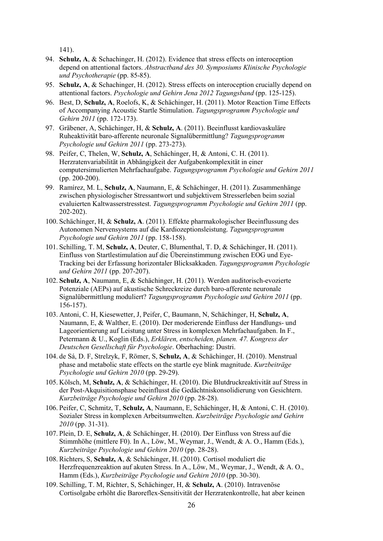141).

- 94. **Schulz, A**, & Schachinger, H. (2012). Evidence that stress effects on interoception depend on attentional factors. *Abstractband des 30. Symposiums Klinische Psychologie und Psychotherapie* (pp. 85-85).
- 95. **Schulz, A**, & Schachinger, H. (2012). Stress effects on interoception crucially depend on attentional factors. *Psychologie und Gehirn Jena 2012 Tagungsband* (pp. 125-125).
- 96. Best, D, **Schulz, A**, Roelofs, K, & Schächinger, H. (2011). Motor Reaction Time Effects of Accompanying Acoustic Startle Stimulation. *Tagungsprogramm Psychologie und Gehirn 2011* (pp. 172-173).
- 97. Gräbener, A, Schächinger, H, & **Schulz, A**. (2011). Beeinflusst kardiovaskuläre Ruheaktivität baro-afferente neuronale Signalübermittlung? *Tagungsprogramm Psychologie und Gehirn 2011* (pp. 273-273).
- 98. Peifer, C, Thelen, W, **Schulz, A**, Schächinger, H, & Antoni, C. H. (2011). Herzratenvariabilität in Abhängigkeit der Aufgabenkomplexität in einer computersimulierten Mehrfachaufgabe. *Tagungsprogramm Psychologie und Gehirn 2011* (pp. 200-200).
- 99. Ramírez, M. L, **Schulz, A**, Naumann, E, & Schächinger, H. (2011). Zusammenhänge zwischen physiologischer Stressantwort und subjektivem Stresserleben beim sozial evaluierten Kaltwasserstresstest. *Tagungsprogramm Psychologie und Gehirn 2011* (pp. 202-202).
- 100. Schächinger, H, & **Schulz, A**. (2011). Effekte pharmakologischer Beeinflussung des Autonomen Nervensystems auf die Kardiozeptionsleistung. *Tagungsprogramm Psychologie und Gehirn 2011* (pp. 158-158).
- 101. Schilling, T. M, **Schulz, A**, Deuter, C, Blumenthal, T. D, & Schächinger, H. (2011). Einfluss von Startlestimulation auf die Übereinstimmung zwischen EOG und Eye-Tracking bei der Erfassung horizontaler Blicksakkaden. *Tagungsprogramm Psychologie und Gehirn 2011* (pp. 207-207).
- 102. **Schulz, A**, Naumann, E, & Schächinger, H. (2011). Werden auditorisch-evozierte Potenziale (AEPs) auf akustische Schreckreize durch baro-afferente neuronale Signalübermittlung moduliert? *Tagungsprogramm Psychologie und Gehirn 2011* (pp. 156-157).
- 103. Antoni, C. H, Kiesewetter, J, Peifer, C, Baumann, N, Schächinger, H, **Schulz, A**, Naumann, E, & Walther, E. (2010). Der moderierende Einfluss der Handlungs- und Lageorientierung auf Leistung unter Stress in komplexen Mehrfachaufgaben. In F., Petermann & U., Koglin (Eds.), *Erklären, entscheiden, planen. 47. Kongress der Deutschen Gesellschaft für Psychologie*. Oberhaching: Dustri.
- 104. de Sá, D. F, Strelzyk, F, Römer, S, **Schulz, A**, & Schächinger, H. (2010). Menstrual phase and metabolic state effects on the startle eye blink magnitude. *Kurzbeiträge Psychologie und Gehirn 2010* (pp. 29-29).
- 105. Kölsch, M, **Schulz, A**, & Schächinger, H. (2010). Die Blutdruckreaktivität auf Stress in der Post-Akquisitionsphase beeinflusst die Gedächtniskonsolidierung von Gesichtern. *Kurzbeiträge Psychologie und Gehirn 2010* (pp. 28-28).
- 106. Peifer, C, Schmitz, T, **Schulz, A**, Naumann, E, Schächinger, H, & Antoni, C. H. (2010). Sozialer Stress in komplexen Arbeitsumwelten. *Kurzbeiträge Psychologie und Gehirn 2010* (pp. 31-31).
- 107. Plein, D. E, **Schulz, A**, & Schächinger, H. (2010). Der Einfluss von Stress auf die Stimmhöhe (mittlere F0). In A., Löw, M., Weymar, J., Wendt, & A. O., Hamm (Eds.), *Kurzbeiträge Psychologie und Gehirn 2010* (pp. 28-28).
- 108. Richters, S, **Schulz, A**, & Schächinger, H. (2010). Cortisol moduliert die Herzfrequenzreaktion auf akuten Stress. In A., Löw, M., Weymar, J., Wendt, & A. O., Hamm (Eds.), *Kurzbeiträge Psychologie und Gehirn 2010* (pp. 30-30).
- 109. Schilling, T. M, Richter, S, Schächinger, H, & **Schulz, A**. (2010). Intravenöse Cortisolgabe erhöht die Baroreflex-Sensitivität der Herzratenkontrolle, hat aber keinen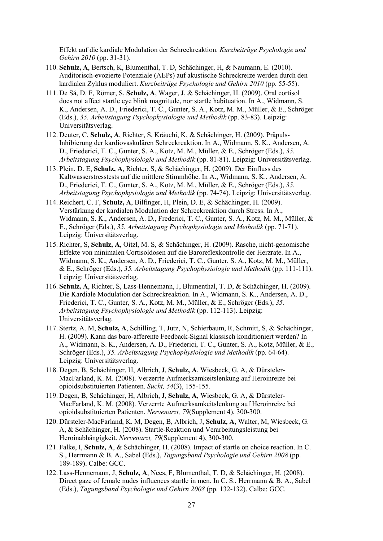Effekt auf die kardiale Modulation der Schreckreaktion. *Kurzbeiträge Psychologie und Gehirn 2010* (pp. 31-31).

- 110. **Schulz, A**, Bertsch, K, Blumenthal, T. D, Schächinger, H, & Naumann, E. (2010). Auditorisch-evozierte Potenziale (AEPs) auf akustische Schreckreize werden durch den kardialen Zyklus moduliert. *Kurzbeiträge Psychologie und Gehirn 2010* (pp. 55-55).
- 111. De Sá, D. F, Römer, S, **Schulz, A**, Wager, J, & Schächinger, H. (2009). Oral cortisol does not affect startle eye blink magnitude, nor startle habituation. In A., Widmann, S. K., Andersen, A. D., Friederici, T. C., Gunter, S. A., Kotz, M. M., Müller, & E., Schröger (Eds.), *35. Arbeitstagung Psychophysiologie und Methodik* (pp. 83-83). Leipzig: Universitätsverlag.
- 112. Deuter, C, **Schulz, A**, Richter, S, Kräuchi, K, & Schächinger, H. (2009). Präpuls-Inhibierung der kardiovaskulären Schreckreaktion. In A., Widmann, S. K., Andersen, A. D., Friederici, T. C., Gunter, S. A., Kotz, M. M., Müller, & E., Schröger (Eds.), *35. Arbeitstagung Psychophysiologie und Methodik* (pp. 81-81). Leipzig: Universitätsverlag.
- 113. Plein, D. E, **Schulz, A**, Richter, S, & Schächinger, H. (2009). Der Einfluss des Kaltwasserstresstests auf die mittlere Stimmhöhe. In A., Widmann, S. K., Andersen, A. D., Friederici, T. C., Gunter, S. A., Kotz, M. M., Müller, & E., Schröger (Eds.), *35. Arbeitstagung Psychophysiologie und Methodik* (pp. 74-74). Leipzig: Universitätsverlag.
- 114. Reichert, C. F, **Schulz, A**, Bilfinger, H, Plein, D. E, & Schächinger, H. (2009). Verstärkung der kardialen Modulation der Schreckreaktion durch Stress. In A., Widmann, S. K., Andersen, A. D., Frederici, T. C., Gunter, S. A., Kotz, M. M., Müller, & E., Schröger (Eds.), *35. Arbeitstagung Psychophysiologie und Methodik* (pp. 71-71). Leipzig: Universitätsverlag.
- 115. Richter, S, **Schulz, A**, Oitzl, M. S, & Schächinger, H. (2009). Rasche, nicht-genomische Effekte von minimalen Cortisoldosen auf die Baroreflexkontrolle der Herzrate. In A., Widmann, S. K., Andersen, A. D., Friederici, T. C., Gunter, S. A., Kotz, M. M., Müller, & E., Schröger (Eds.), *35. Arbeitstagung Psychophysiologie und Methodik* (pp. 111-111). Leipzig: Universitätsverlag.
- 116. **Schulz, A**, Richter, S, Lass-Hennemann, J, Blumenthal, T. D, & Schächinger, H. (2009). Die Kardiale Modulation der Schreckreaktion. In A., Widmann, S. K., Andersen, A. D., Friederici, T. C., Gunter, S. A., Kotz, M. M., Müller, & E., Schröger (Eds.), *35. Arbeitstagung Psychophysiologie und Methodik* (pp. 112-113). Leipzig: Universitätsverlag.
- 117. Stertz, A. M, **Schulz, A**, Schilling, T, Jutz, N, Schierbaum, R, Schmitt, S, & Schächinger, H. (2009). Kann das baro-afferente Feedback-Signal klassisch konditioniert werden? In A., Widmann, S. K., Andersen, A. D., Friederici, T. C., Gunter, S. A., Kotz, Müller, & E., Schröger (Eds.), *35. Arbeitstagung Psychophysiologie und Methodik* (pp. 64-64). Leipzig: Universitätsverlag.
- 118. Degen, B, Schächinger, H, Albrich, J, **Schulz, A**, Wiesbeck, G. A, & Dürsteler-MacFarland, K. M. (2008). Verzerrte Aufmerksamkeitslenkung auf Heroinreize bei opioidsubstituierten Patienten. *Sucht, 54*(3), 155-155.
- 119. Degen, B, Schächinger, H, Albrich, J, **Schulz, A**, Wiesbeck, G. A, & Dürsteler-MacFarland, K. M. (2008). Verzerrte Aufmerksamkeitslenkung auf Heroinreize bei opioidsubstituierten Patienten. *Nervenarzt, 79*(Supplement 4), 300-300.
- 120. Dürsteler-MacFarland, K. M, Degen, B, Albrich, J, **Schulz, A**, Walter, M, Wiesbeck, G. A, & Schächinger, H. (2008). Startle-Reaktion und Verarbeitungsleistung bei Heroinabhängigkeit. *Nervenarzt, 79*(Supplement 4), 300-300.
- 121. Falke, I, **Schulz, A**, & Schächinger, H. (2008). Impact of startle on choice reaction. In C. S., Herrmann & B. A., Sabel (Eds.), *Tagungsband Psychologie und Gehirn 2008* (pp. 189-189). Calbe: GCC.
- 122. Lass-Hennemann, J, **Schulz, A**, Nees, F, Blumenthal, T. D, & Schächinger, H. (2008). Direct gaze of female nudes influences startle in men. In C. S., Herrmann & B. A., Sabel (Eds.), *Tagungsband Psychologie und Gehirn 2008* (pp. 132-132). Calbe: GCC.